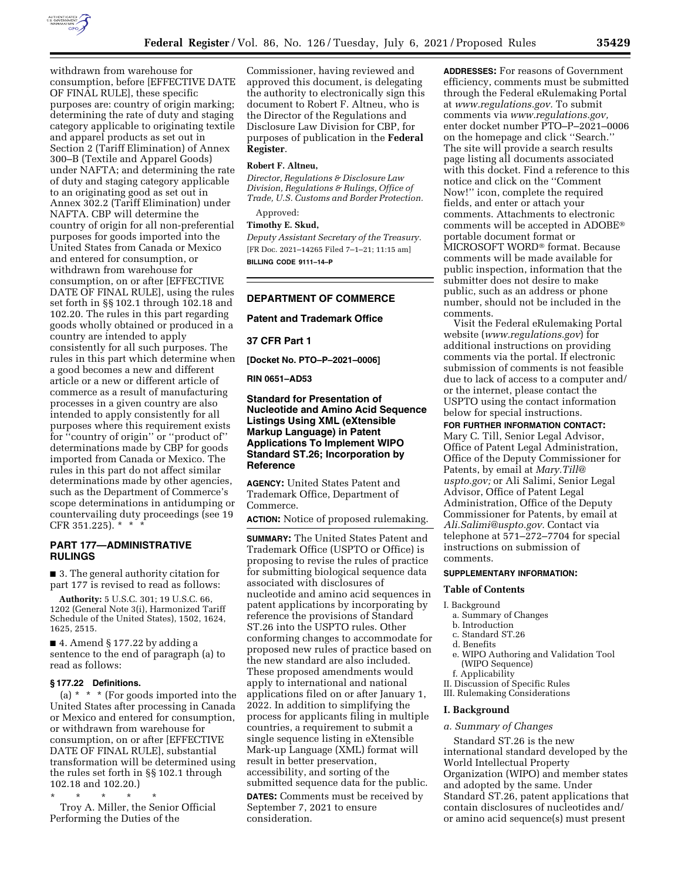

withdrawn from warehouse for consumption, before [EFFECTIVE DATE OF FINAL RULE], these specific purposes are: country of origin marking; determining the rate of duty and staging category applicable to originating textile and apparel products as set out in Section 2 (Tariff Elimination) of Annex 300–B (Textile and Apparel Goods) under NAFTA; and determining the rate of duty and staging category applicable to an originating good as set out in Annex 302.2 (Tariff Elimination) under NAFTA. CBP will determine the country of origin for all non-preferential purposes for goods imported into the United States from Canada or Mexico and entered for consumption, or withdrawn from warehouse for consumption, on or after [EFFECTIVE DATE OF FINAL RULE], using the rules set forth in §§ 102.1 through 102.18 and 102.20. The rules in this part regarding goods wholly obtained or produced in a country are intended to apply consistently for all such purposes. The rules in this part which determine when a good becomes a new and different article or a new or different article of commerce as a result of manufacturing processes in a given country are also intended to apply consistently for all purposes where this requirement exists for ''country of origin'' or ''product of'' determinations made by CBP for goods imported from Canada or Mexico. The rules in this part do not affect similar determinations made by other agencies, such as the Department of Commerce's scope determinations in antidumping or countervailing duty proceedings (see 19  $CFR 351.225$ ).  $*$ 

## **PART 177—ADMINISTRATIVE RULINGS**

■ 3. The general authority citation for part 177 is revised to read as follows:

**Authority:** 5 U.S.C. 301; 19 U.S.C. 66, 1202 (General Note 3(i), Harmonized Tariff Schedule of the United States), 1502, 1624, 1625, 2515.

■ 4. Amend § 177.22 by adding a sentence to the end of paragraph (a) to read as follows:

### **§ 177.22 Definitions.**

(a) \* \* \* (For goods imported into the United States after processing in Canada or Mexico and entered for consumption, or withdrawn from warehouse for consumption, on or after [EFFECTIVE DATE OF FINAL RULE], substantial transformation will be determined using the rules set forth in §§ 102.1 through 102.18 and 102.20.)

\* \* \* \* \* Troy A. Miller, the Senior Official Performing the Duties of the

Commissioner, having reviewed and approved this document, is delegating the authority to electronically sign this document to Robert F. Altneu, who is the Director of the Regulations and Disclosure Law Division for CBP, for purposes of publication in the **Federal Register**.

### **Robert F. Altneu,**

*Director, Regulations & Disclosure Law Division, Regulations & Rulings, Office of Trade, U.S. Customs and Border Protection.* 

Approved:

# **Timothy E. Skud,**

*Deputy Assistant Secretary of the Treasury.*  [FR Doc. 2021–14265 Filed 7–1–21; 11:15 am] **BILLING CODE 9111–14–P** 

# **DEPARTMENT OF COMMERCE**

## **Patent and Trademark Office**

**37 CFR Part 1** 

**[Docket No. PTO–P–2021–0006]** 

**RIN 0651–AD53** 

# **Standard for Presentation of Nucleotide and Amino Acid Sequence Listings Using XML (eXtensible Markup Language) in Patent Applications To Implement WIPO Standard ST.26; Incorporation by Reference**

**AGENCY:** United States Patent and Trademark Office, Department of Commerce.

**ACTION:** Notice of proposed rulemaking.

**SUMMARY:** The United States Patent and Trademark Office (USPTO or Office) is proposing to revise the rules of practice for submitting biological sequence data associated with disclosures of nucleotide and amino acid sequences in patent applications by incorporating by reference the provisions of Standard ST.26 into the USPTO rules. Other conforming changes to accommodate for proposed new rules of practice based on the new standard are also included. These proposed amendments would apply to international and national applications filed on or after January 1, 2022. In addition to simplifying the process for applicants filing in multiple countries, a requirement to submit a single sequence listing in eXtensible Mark-up Language (XML) format will result in better preservation, accessibility, and sorting of the submitted sequence data for the public.

**DATES:** Comments must be received by September 7, 2021 to ensure consideration.

**ADDRESSES:** For reasons of Government efficiency, comments must be submitted through the Federal eRulemaking Portal at *[www.regulations.gov.](http://www.regulations.gov)* To submit comments via *[www.regulations.gov,](http://www.regulations.gov)*  enter docket number PTO–P–2021–0006 on the homepage and click ''Search.'' The site will provide a search results page listing all documents associated with this docket. Find a reference to this notice and click on the ''Comment Now!'' icon, complete the required fields, and enter or attach your comments. Attachments to electronic comments will be accepted in ADOBE® portable document format or MICROSOFT WORD® format. Because comments will be made available for public inspection, information that the submitter does not desire to make public, such as an address or phone number, should not be included in the comments.

Visit the Federal eRulemaking Portal website (*[www.regulations.gov](http://www.regulations.gov)*) for additional instructions on providing comments via the portal. If electronic submission of comments is not feasible due to lack of access to a computer and/ or the internet, please contact the USPTO using the contact information below for special instructions.

# **FOR FURTHER INFORMATION CONTACT:**

Mary C. Till, Senior Legal Advisor, Office of Patent Legal Administration, Office of the Deputy Commissioner for Patents, by email at *[Mary.Till@](mailto:Mary.Till@uspto.gov) [uspto.gov;](mailto:Mary.Till@uspto.gov)* or Ali Salimi, Senior Legal Advisor, Office of Patent Legal Administration, Office of the Deputy Commissioner for Patents, by email at *[Ali.Salimi@uspto.gov.](mailto:Ali.Salimi@uspto.gov)* Contact via telephone at 571–272–7704 for special instructions on submission of comments.

### **SUPPLEMENTARY INFORMATION:**

### **Table of Contents**

#### I. Background

- a. Summary of Changes
- b. Introduction
- c. Standard ST.26
- d. Benefits
- e. WIPO Authoring and Validation Tool (WIPO Sequence)
- f. Applicability
- II. Discussion of Specific Rules
- III. Rulemaking Considerations

## **I. Background**

## *a. Summary of Changes*

Standard ST.26 is the new international standard developed by the World Intellectual Property Organization (WIPO) and member states and adopted by the same. Under Standard ST.26, patent applications that contain disclosures of nucleotides and/ or amino acid sequence(s) must present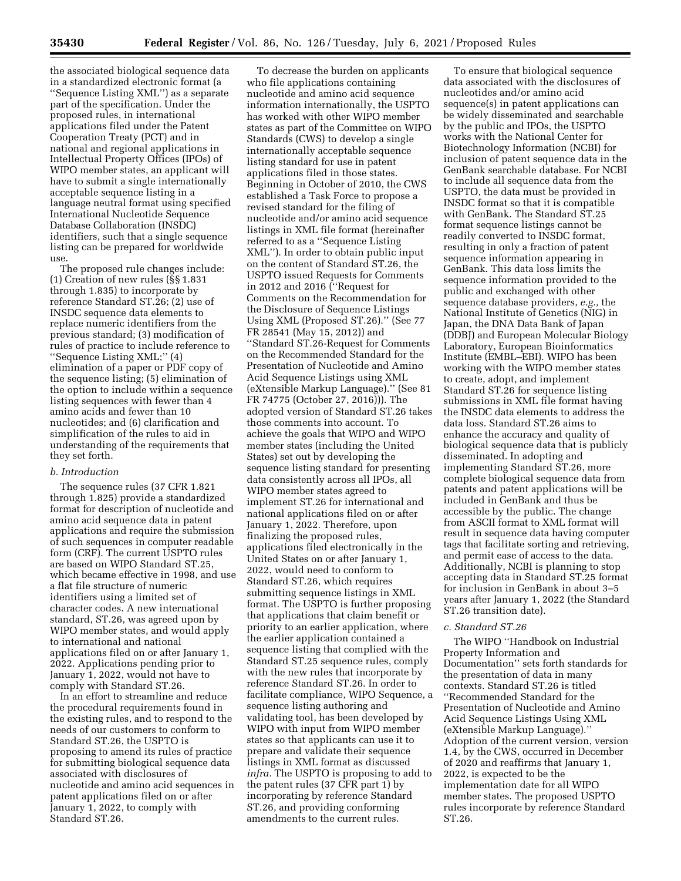the associated biological sequence data in a standardized electronic format (a ''Sequence Listing XML'') as a separate part of the specification. Under the proposed rules, in international applications filed under the Patent Cooperation Treaty (PCT) and in national and regional applications in Intellectual Property Offices (IPOs) of WIPO member states, an applicant will have to submit a single internationally acceptable sequence listing in a language neutral format using specified International Nucleotide Sequence Database Collaboration (INSDC) identifiers, such that a single sequence listing can be prepared for worldwide use.

The proposed rule changes include: (1) Creation of new rules (§§ 1.831 through 1.835) to incorporate by reference Standard ST.26; (2) use of INSDC sequence data elements to replace numeric identifiers from the previous standard; (3) modification of rules of practice to include reference to ''Sequence Listing XML;'' (4) elimination of a paper or PDF copy of the sequence listing; (5) elimination of the option to include within a sequence listing sequences with fewer than 4 amino acids and fewer than 10 nucleotides; and (6) clarification and simplification of the rules to aid in understanding of the requirements that they set forth.

## *b. Introduction*

The sequence rules (37 CFR 1.821 through 1.825) provide a standardized format for description of nucleotide and amino acid sequence data in patent applications and require the submission of such sequences in computer readable form (CRF). The current USPTO rules are based on WIPO Standard ST.25, which became effective in 1998, and use a flat file structure of numeric identifiers using a limited set of character codes. A new international standard, ST.26, was agreed upon by WIPO member states, and would apply to international and national applications filed on or after January 1, 2022. Applications pending prior to January 1, 2022, would not have to comply with Standard ST.26.

In an effort to streamline and reduce the procedural requirements found in the existing rules, and to respond to the needs of our customers to conform to Standard ST.26, the USPTO is proposing to amend its rules of practice for submitting biological sequence data associated with disclosures of nucleotide and amino acid sequences in patent applications filed on or after January 1, 2022, to comply with Standard ST.26.

To decrease the burden on applicants who file applications containing nucleotide and amino acid sequence information internationally, the USPTO has worked with other WIPO member states as part of the Committee on WIPO Standards (CWS) to develop a single internationally acceptable sequence listing standard for use in patent applications filed in those states. Beginning in October of 2010, the CWS established a Task Force to propose a revised standard for the filing of nucleotide and/or amino acid sequence listings in XML file format (hereinafter referred to as a ''Sequence Listing XML''). In order to obtain public input on the content of Standard ST.26, the USPTO issued Requests for Comments in 2012 and 2016 (''Request for Comments on the Recommendation for the Disclosure of Sequence Listings Using XML (Proposed ST.26).'' (See 77 FR 28541 (May 15, 2012)) and ''Standard ST.26-Request for Comments on the Recommended Standard for the Presentation of Nucleotide and Amino Acid Sequence Listings using XML (eXtensible Markup Language).'' (See 81 FR 74775 (October 27, 2016))). The adopted version of Standard ST.26 takes those comments into account. To achieve the goals that WIPO and WIPO member states (including the United States) set out by developing the sequence listing standard for presenting data consistently across all IPOs, all WIPO member states agreed to implement ST.26 for international and national applications filed on or after January 1, 2022. Therefore, upon finalizing the proposed rules, applications filed electronically in the United States on or after January 1, 2022, would need to conform to Standard ST.26, which requires submitting sequence listings in XML format. The USPTO is further proposing that applications that claim benefit or priority to an earlier application, where the earlier application contained a sequence listing that complied with the Standard ST.25 sequence rules, comply with the new rules that incorporate by reference Standard ST.26. In order to facilitate compliance, WIPO Sequence, a sequence listing authoring and validating tool, has been developed by WIPO with input from WIPO member states so that applicants can use it to prepare and validate their sequence listings in XML format as discussed *infra.* The USPTO is proposing to add to the patent rules (37 CFR part 1) by incorporating by reference Standard ST.26, and providing conforming amendments to the current rules.

To ensure that biological sequence data associated with the disclosures of nucleotides and/or amino acid sequence(s) in patent applications can be widely disseminated and searchable by the public and IPOs, the USPTO works with the National Center for Biotechnology Information (NCBI) for inclusion of patent sequence data in the GenBank searchable database. For NCBI to include all sequence data from the USPTO, the data must be provided in INSDC format so that it is compatible with GenBank. The Standard ST.25 format sequence listings cannot be readily converted to INSDC format, resulting in only a fraction of patent sequence information appearing in GenBank. This data loss limits the sequence information provided to the public and exchanged with other sequence database providers, *e.g.,* the National Institute of Genetics (NIG) in Japan, the DNA Data Bank of Japan (DDBJ) and European Molecular Biology Laboratory, European Bioinformatics Institute (EMBL–EBI). WIPO has been working with the WIPO member states to create, adopt, and implement Standard ST.26 for sequence listing submissions in XML file format having the INSDC data elements to address the data loss. Standard ST.26 aims to enhance the accuracy and quality of biological sequence data that is publicly disseminated. In adopting and implementing Standard ST.26, more complete biological sequence data from patents and patent applications will be included in GenBank and thus be accessible by the public. The change from ASCII format to XML format will result in sequence data having computer tags that facilitate sorting and retrieving, and permit ease of access to the data. Additionally, NCBI is planning to stop accepting data in Standard ST.25 format for inclusion in GenBank in about 3–5 years after January 1, 2022 (the Standard ST.26 transition date).

## *c. Standard ST.26*

The WIPO ''Handbook on Industrial Property Information and Documentation'' sets forth standards for the presentation of data in many contexts. Standard ST.26 is titled ''Recommended Standard for the Presentation of Nucleotide and Amino Acid Sequence Listings Using XML (eXtensible Markup Language).'' Adoption of the current version, version 1.4, by the CWS, occurred in December of 2020 and reaffirms that January 1, 2022, is expected to be the implementation date for all WIPO member states. The proposed USPTO rules incorporate by reference Standard ST.26.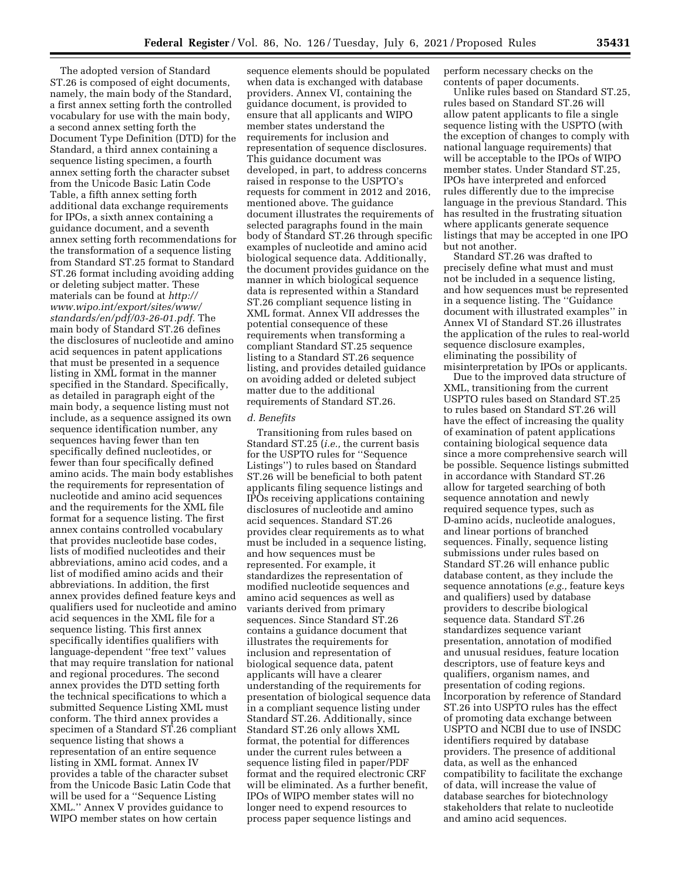The adopted version of Standard ST.26 is composed of eight documents, namely, the main body of the Standard, a first annex setting forth the controlled vocabulary for use with the main body, a second annex setting forth the Document Type Definition (DTD) for the Standard, a third annex containing a sequence listing specimen, a fourth annex setting forth the character subset from the Unicode Basic Latin Code Table, a fifth annex setting forth additional data exchange requirements for IPOs, a sixth annex containing a guidance document, and a seventh annex setting forth recommendations for the transformation of a sequence listing from Standard ST.25 format to Standard ST.26 format including avoiding adding or deleting subject matter. These materials can be found at *[http://](http://www.wipo.int/export/sites/www/standards/en/pdf/03-26-01.pdf) [www.wipo.int/export/sites/www/](http://www.wipo.int/export/sites/www/standards/en/pdf/03-26-01.pdf) [standards/en/pdf/03-26-01.pdf.](http://www.wipo.int/export/sites/www/standards/en/pdf/03-26-01.pdf)* The main body of Standard ST.26 defines the disclosures of nucleotide and amino acid sequences in patent applications that must be presented in a sequence listing in XML format in the manner specified in the Standard. Specifically, as detailed in paragraph eight of the main body, a sequence listing must not include, as a sequence assigned its own sequence identification number, any sequences having fewer than ten specifically defined nucleotides, or fewer than four specifically defined amino acids. The main body establishes the requirements for representation of nucleotide and amino acid sequences and the requirements for the XML file format for a sequence listing. The first annex contains controlled vocabulary that provides nucleotide base codes, lists of modified nucleotides and their abbreviations, amino acid codes, and a list of modified amino acids and their abbreviations. In addition, the first annex provides defined feature keys and qualifiers used for nucleotide and amino acid sequences in the XML file for a sequence listing. This first annex specifically identifies qualifiers with language-dependent ''free text'' values that may require translation for national and regional procedures. The second annex provides the DTD setting forth the technical specifications to which a submitted Sequence Listing XML must conform. The third annex provides a specimen of a Standard ST.26 compliant sequence listing that shows a representation of an entire sequence listing in XML format. Annex IV provides a table of the character subset from the Unicode Basic Latin Code that will be used for a ''Sequence Listing XML.'' Annex V provides guidance to WIPO member states on how certain

sequence elements should be populated when data is exchanged with database providers. Annex VI, containing the guidance document, is provided to ensure that all applicants and WIPO member states understand the requirements for inclusion and representation of sequence disclosures. This guidance document was developed, in part, to address concerns raised in response to the USPTO's requests for comment in 2012 and 2016, mentioned above. The guidance document illustrates the requirements of selected paragraphs found in the main body of Standard ST.26 through specific examples of nucleotide and amino acid biological sequence data. Additionally, the document provides guidance on the manner in which biological sequence data is represented within a Standard ST.26 compliant sequence listing in XML format. Annex VII addresses the potential consequence of these requirements when transforming a compliant Standard ST.25 sequence listing to a Standard ST.26 sequence listing, and provides detailed guidance on avoiding added or deleted subject matter due to the additional requirements of Standard ST.26.

## *d. Benefits*

Transitioning from rules based on Standard ST.25 (*i.e.,* the current basis for the USPTO rules for ''Sequence Listings'') to rules based on Standard ST.26 will be beneficial to both patent applicants filing sequence listings and IPOs receiving applications containing disclosures of nucleotide and amino acid sequences. Standard ST.26 provides clear requirements as to what must be included in a sequence listing, and how sequences must be represented. For example, it standardizes the representation of modified nucleotide sequences and amino acid sequences as well as variants derived from primary sequences. Since Standard ST.26 contains a guidance document that illustrates the requirements for inclusion and representation of biological sequence data, patent applicants will have a clearer understanding of the requirements for presentation of biological sequence data in a compliant sequence listing under Standard ST.26. Additionally, since Standard ST.26 only allows XML format, the potential for differences under the current rules between a sequence listing filed in paper/PDF format and the required electronic CRF will be eliminated. As a further benefit, IPOs of WIPO member states will no longer need to expend resources to process paper sequence listings and

perform necessary checks on the contents of paper documents.

Unlike rules based on Standard ST.25, rules based on Standard ST.26 will allow patent applicants to file a single sequence listing with the USPTO (with the exception of changes to comply with national language requirements) that will be acceptable to the IPOs of WIPO member states. Under Standard ST.25, IPOs have interpreted and enforced rules differently due to the imprecise language in the previous Standard. This has resulted in the frustrating situation where applicants generate sequence listings that may be accepted in one IPO but not another.

Standard ST.26 was drafted to precisely define what must and must not be included in a sequence listing, and how sequences must be represented in a sequence listing. The ''Guidance document with illustrated examples'' in Annex VI of Standard ST.26 illustrates the application of the rules to real-world sequence disclosure examples, eliminating the possibility of misinterpretation by IPOs or applicants.

Due to the improved data structure of XML, transitioning from the current USPTO rules based on Standard ST.25 to rules based on Standard ST.26 will have the effect of increasing the quality of examination of patent applications containing biological sequence data since a more comprehensive search will be possible. Sequence listings submitted in accordance with Standard ST.26 allow for targeted searching of both sequence annotation and newly required sequence types, such as D-amino acids, nucleotide analogues, and linear portions of branched sequences. Finally, sequence listing submissions under rules based on Standard ST.26 will enhance public database content, as they include the sequence annotations (*e.g.,* feature keys and qualifiers) used by database providers to describe biological sequence data. Standard ST.26 standardizes sequence variant presentation, annotation of modified and unusual residues, feature location descriptors, use of feature keys and qualifiers, organism names, and presentation of coding regions. Incorporation by reference of Standard ST.26 into USPTO rules has the effect of promoting data exchange between USPTO and NCBI due to use of INSDC identifiers required by database providers. The presence of additional data, as well as the enhanced compatibility to facilitate the exchange of data, will increase the value of database searches for biotechnology stakeholders that relate to nucleotide and amino acid sequences.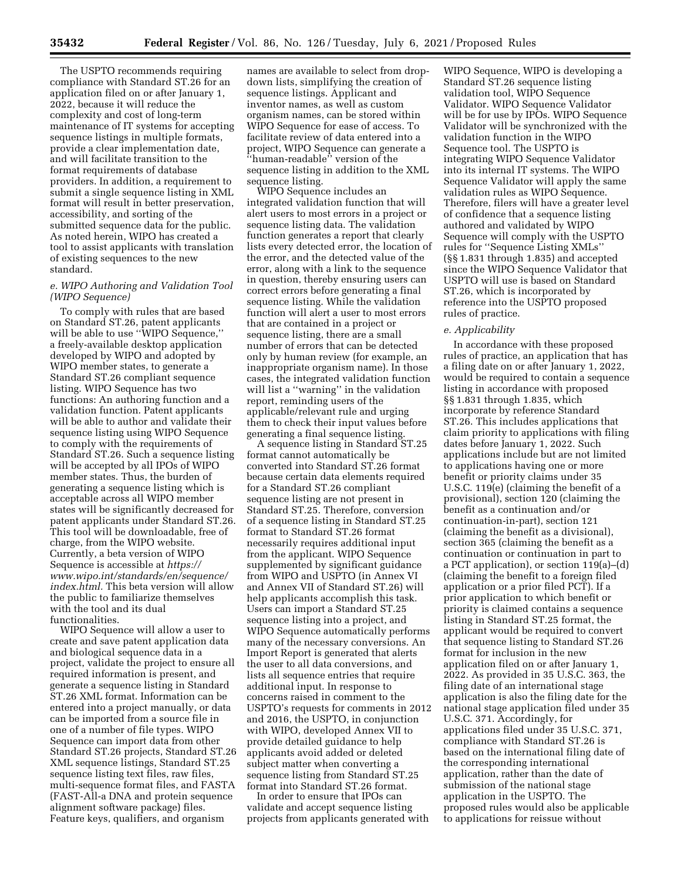The USPTO recommends requiring compliance with Standard ST.26 for an application filed on or after January 1, 2022, because it will reduce the complexity and cost of long-term maintenance of IT systems for accepting sequence listings in multiple formats, provide a clear implementation date, and will facilitate transition to the format requirements of database providers. In addition, a requirement to submit a single sequence listing in XML format will result in better preservation, accessibility, and sorting of the submitted sequence data for the public. As noted herein, WIPO has created a tool to assist applicants with translation of existing sequences to the new standard.

# *e. WIPO Authoring and Validation Tool (WIPO Sequence)*

To comply with rules that are based on Standard ST.26, patent applicants will be able to use ''WIPO Sequence,'' a freely-available desktop application developed by WIPO and adopted by WIPO member states, to generate a Standard ST.26 compliant sequence listing. WIPO Sequence has two functions: An authoring function and a validation function. Patent applicants will be able to author and validate their sequence listing using WIPO Sequence to comply with the requirements of Standard ST.26. Such a sequence listing will be accepted by all IPOs of WIPO member states. Thus, the burden of generating a sequence listing which is acceptable across all WIPO member states will be significantly decreased for patent applicants under Standard ST.26. This tool will be downloadable, free of charge, from the WIPO website. Currently, a beta version of WIPO Sequence is accessible at *[https://](https://www.wipo.int/standards/en/sequence/index.html) [www.wipo.int/standards/en/sequence/](https://www.wipo.int/standards/en/sequence/index.html)  [index.html.](https://www.wipo.int/standards/en/sequence/index.html)* This beta version will allow the public to familiarize themselves with the tool and its dual functionalities.

WIPO Sequence will allow a user to create and save patent application data and biological sequence data in a project, validate the project to ensure all required information is present, and generate a sequence listing in Standard ST.26 XML format. Information can be entered into a project manually, or data can be imported from a source file in one of a number of file types. WIPO Sequence can import data from other Standard ST.26 projects, Standard ST.26 XML sequence listings, Standard ST.25 sequence listing text files, raw files, multi-sequence format files, and FASTA (FAST-All-a DNA and protein sequence alignment software package) files. Feature keys, qualifiers, and organism

names are available to select from dropdown lists, simplifying the creation of sequence listings. Applicant and inventor names, as well as custom organism names, can be stored within WIPO Sequence for ease of access. To facilitate review of data entered into a project, WIPO Sequence can generate a ''human-readable'' version of the sequence listing in addition to the XML sequence listing.

WIPO Sequence includes an integrated validation function that will alert users to most errors in a project or sequence listing data. The validation function generates a report that clearly lists every detected error, the location of the error, and the detected value of the error, along with a link to the sequence in question, thereby ensuring users can correct errors before generating a final sequence listing. While the validation function will alert a user to most errors that are contained in a project or sequence listing, there are a small number of errors that can be detected only by human review (for example, an inappropriate organism name). In those cases, the integrated validation function will list a ''warning'' in the validation report, reminding users of the applicable/relevant rule and urging them to check their input values before generating a final sequence listing.

A sequence listing in Standard ST.25 format cannot automatically be converted into Standard ST.26 format because certain data elements required for a Standard ST.26 compliant sequence listing are not present in Standard ST.25. Therefore, conversion of a sequence listing in Standard ST.25 format to Standard ST.26 format necessarily requires additional input from the applicant. WIPO Sequence supplemented by significant guidance from WIPO and USPTO (in Annex VI and Annex VII of Standard ST.26) will help applicants accomplish this task. Users can import a Standard ST.25 sequence listing into a project, and WIPO Sequence automatically performs many of the necessary conversions. An Import Report is generated that alerts the user to all data conversions, and lists all sequence entries that require additional input. In response to concerns raised in comment to the USPTO's requests for comments in 2012 and 2016, the USPTO, in conjunction with WIPO, developed Annex VII to provide detailed guidance to help applicants avoid added or deleted subject matter when converting a sequence listing from Standard ST.25 format into Standard ST.26 format.

In order to ensure that IPOs can validate and accept sequence listing projects from applicants generated with

WIPO Sequence, WIPO is developing a Standard ST.26 sequence listing validation tool, WIPO Sequence Validator. WIPO Sequence Validator will be for use by IPOs. WIPO Sequence Validator will be synchronized with the validation function in the WIPO Sequence tool. The USPTO is integrating WIPO Sequence Validator into its internal IT systems. The WIPO Sequence Validator will apply the same validation rules as WIPO Sequence. Therefore, filers will have a greater level of confidence that a sequence listing authored and validated by WIPO Sequence will comply with the USPTO rules for ''Sequence Listing XMLs'' (§§ 1.831 through 1.835) and accepted since the WIPO Sequence Validator that USPTO will use is based on Standard ST.26, which is incorporated by reference into the USPTO proposed rules of practice.

# *e. Applicability*

In accordance with these proposed rules of practice, an application that has a filing date on or after January 1, 2022, would be required to contain a sequence listing in accordance with proposed §§ 1.831 through 1.835, which incorporate by reference Standard ST.26. This includes applications that claim priority to applications with filing dates before January 1, 2022. Such applications include but are not limited to applications having one or more benefit or priority claims under 35 U.S.C. 119(e) (claiming the benefit of a provisional), section 120 (claiming the benefit as a continuation and/or continuation-in-part), section 121 (claiming the benefit as a divisional), section 365 (claiming the benefit as a continuation or continuation in part to a PCT application), or section 119(a)–(d) (claiming the benefit to a foreign filed application or a prior filed PCT). If a prior application to which benefit or priority is claimed contains a sequence listing in Standard ST.25 format, the applicant would be required to convert that sequence listing to Standard ST.26 format for inclusion in the new application filed on or after January 1, 2022. As provided in 35 U.S.C. 363, the filing date of an international stage application is also the filing date for the national stage application filed under 35 U.S.C. 371. Accordingly, for applications filed under 35 U.S.C. 371, compliance with Standard ST.26 is based on the international filing date of the corresponding international application, rather than the date of submission of the national stage application in the USPTO. The proposed rules would also be applicable to applications for reissue without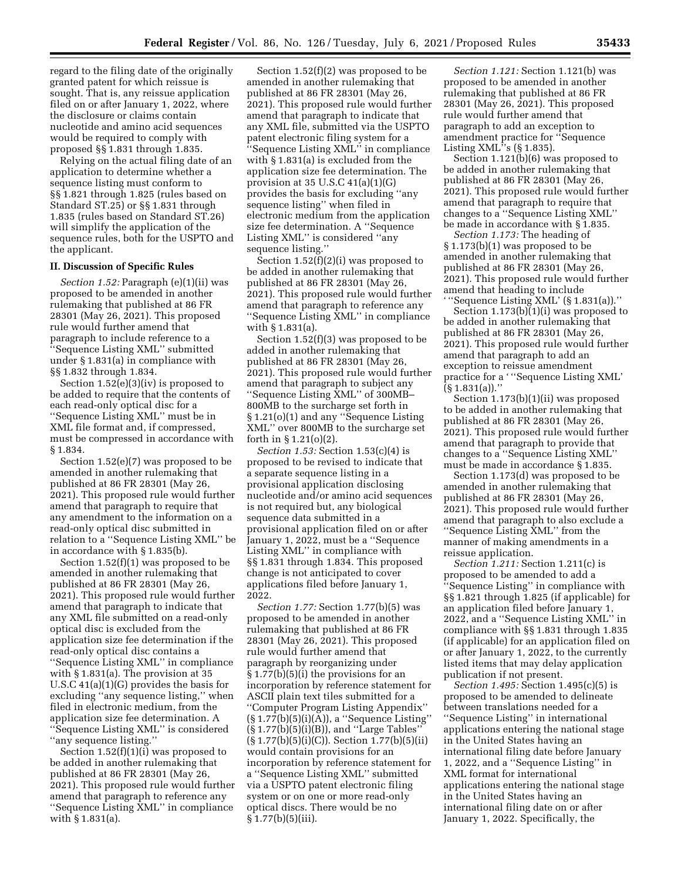regard to the filing date of the originally granted patent for which reissue is sought. That is, any reissue application filed on or after January 1, 2022, where the disclosure or claims contain nucleotide and amino acid sequences would be required to comply with proposed §§ 1.831 through 1.835.

Relying on the actual filing date of an application to determine whether a sequence listing must conform to §§ 1.821 through 1.825 (rules based on Standard ST.25) or §§ 1.831 through 1.835 (rules based on Standard ST.26) will simplify the application of the sequence rules, both for the USPTO and the applicant.

### **II. Discussion of Specific Rules**

*Section 1.52:* Paragraph (e)(1)(ii) was proposed to be amended in another rulemaking that published at 86 FR 28301 (May 26, 2021). This proposed rule would further amend that paragraph to include reference to a ''Sequence Listing XML'' submitted under § 1.831(a) in compliance with §§ 1.832 through 1.834.

Section 1.52(e)(3)(iv) is proposed to be added to require that the contents of each read-only optical disc for a ''Sequence Listing XML'' must be in XML file format and, if compressed, must be compressed in accordance with § 1.834.

Section 1.52(e)(7) was proposed to be amended in another rulemaking that published at 86 FR 28301 (May 26, 2021). This proposed rule would further amend that paragraph to require that any amendment to the information on a read-only optical disc submitted in relation to a ''Sequence Listing XML'' be in accordance with § 1.835(b).

Section 1.52(f)(1) was proposed to be amended in another rulemaking that published at 86 FR 28301 (May 26, 2021). This proposed rule would further amend that paragraph to indicate that any XML file submitted on a read-only optical disc is excluded from the application size fee determination if the read-only optical disc contains a ''Sequence Listing XML'' in compliance with § 1.831(a). The provision at 35 U.S.C 41(a)(1)(G) provides the basis for excluding ''any sequence listing,'' when filed in electronic medium, from the application size fee determination. A 'Sequence Listing XML'' is considered ''any sequence listing.''

Section 1.52(f)(1)(i) was proposed to be added in another rulemaking that published at 86 FR 28301 (May 26, 2021). This proposed rule would further amend that paragraph to reference any ''Sequence Listing XML'' in compliance with § 1.831(a).

Section 1.52(f)(2) was proposed to be amended in another rulemaking that published at 86 FR 28301 (May 26, 2021). This proposed rule would further amend that paragraph to indicate that any XML file, submitted via the USPTO patent electronic filing system for a ''Sequence Listing XML'' in compliance with § 1.831(a) is excluded from the application size fee determination. The provision at 35 U.S.C 41(a)(1)(G) provides the basis for excluding ''any sequence listing'' when filed in electronic medium from the application size fee determination. A ''Sequence Listing XML'' is considered ''any sequence listing.''

Section 1.52(f)(2)(i) was proposed to be added in another rulemaking that published at 86 FR 28301 (May 26, 2021). This proposed rule would further amend that paragraph to reference any ''Sequence Listing XML'' in compliance with § 1.831(a).

Section 1.52(f)(3) was proposed to be added in another rulemaking that published at 86 FR 28301 (May 26, 2021). This proposed rule would further amend that paragraph to subject any ''Sequence Listing XML'' of 300MB– 800MB to the surcharge set forth in § 1.21(o)(1) and any ''Sequence Listing XML'' over 800MB to the surcharge set forth in § 1.21(o)(2).

*Section 1.53:* Section 1.53(c)(4) is proposed to be revised to indicate that a separate sequence listing in a provisional application disclosing nucleotide and/or amino acid sequences is not required but, any biological sequence data submitted in a provisional application filed on or after January 1, 2022, must be a ''Sequence Listing XML'' in compliance with §§ 1.831 through 1.834. This proposed change is not anticipated to cover applications filed before January 1, 2022.

*Section 1.77:* Section 1.77(b)(5) was proposed to be amended in another rulemaking that published at 86 FR 28301 (May 26, 2021). This proposed rule would further amend that paragraph by reorganizing under § 1.77(b)(5)(i) the provisions for an incorporation by reference statement for ASCII plain text tiles submitted for a ''Computer Program Listing Appendix'' (§ 1.77(b)(5)(i)(A)), a ''Sequence Listing'' (§ 1.77(b)(5)(i)(B)), and ''Large Tables''  $(\S 1.77(b)(5)(i)(C))$ . Section 1.77(b)(5)(ii) would contain provisions for an incorporation by reference statement for a ''Sequence Listing XML'' submitted via a USPTO patent electronic filing system or on one or more read-only optical discs. There would be no  $§ 1.77(b)(5)(iii).$ 

*Section 1.121:* Section 1.121(b) was proposed to be amended in another rulemaking that published at 86 FR 28301 (May 26, 2021). This proposed rule would further amend that paragraph to add an exception to amendment practice for ''Sequence Listing XML''s (§ 1.835).

Section 1.121(b)(6) was proposed to be added in another rulemaking that published at 86 FR 28301 (May 26, 2021). This proposed rule would further amend that paragraph to require that changes to a ''Sequence Listing XML'' be made in accordance with § 1.835.

*Section 1.173:* The heading of § 1.173(b)(1) was proposed to be amended in another rulemaking that published at 86 FR 28301 (May 26, 2021). This proposed rule would further amend that heading to include ' ''Sequence Listing XML' (§ 1.831(a)).''

Section  $1.173(b)(1)(i)$  was proposed to be added in another rulemaking that published at 86 FR 28301 (May 26, 2021). This proposed rule would further amend that paragraph to add an exception to reissue amendment practice for a ' ''Sequence Listing XML'  $(S 1.831(a))$ ."

Section 1.173(b)(1)(ii) was proposed to be added in another rulemaking that published at 86 FR 28301 (May 26, 2021). This proposed rule would further amend that paragraph to provide that changes to a ''Sequence Listing XML'' must be made in accordance § 1.835.

Section 1.173(d) was proposed to be amended in another rulemaking that published at 86 FR 28301 (May 26, 2021). This proposed rule would further amend that paragraph to also exclude a ''Sequence Listing XML'' from the manner of making amendments in a reissue application.

*Section 1.211:* Section 1.211(c) is proposed to be amended to add a ''Sequence Listing'' in compliance with §§ 1.821 through 1.825 (if applicable) for an application filed before January 1, 2022, and a ''Sequence Listing XML'' in compliance with §§ 1.831 through 1.835 (if applicable) for an application filed on or after January 1, 2022, to the currently listed items that may delay application publication if not present.

*Section 1.495:* Section 1.495(c)(5) is proposed to be amended to delineate between translations needed for a ''Sequence Listing'' in international applications entering the national stage in the United States having an international filing date before January 1, 2022, and a ''Sequence Listing'' in XML format for international applications entering the national stage in the United States having an international filing date on or after January 1, 2022. Specifically, the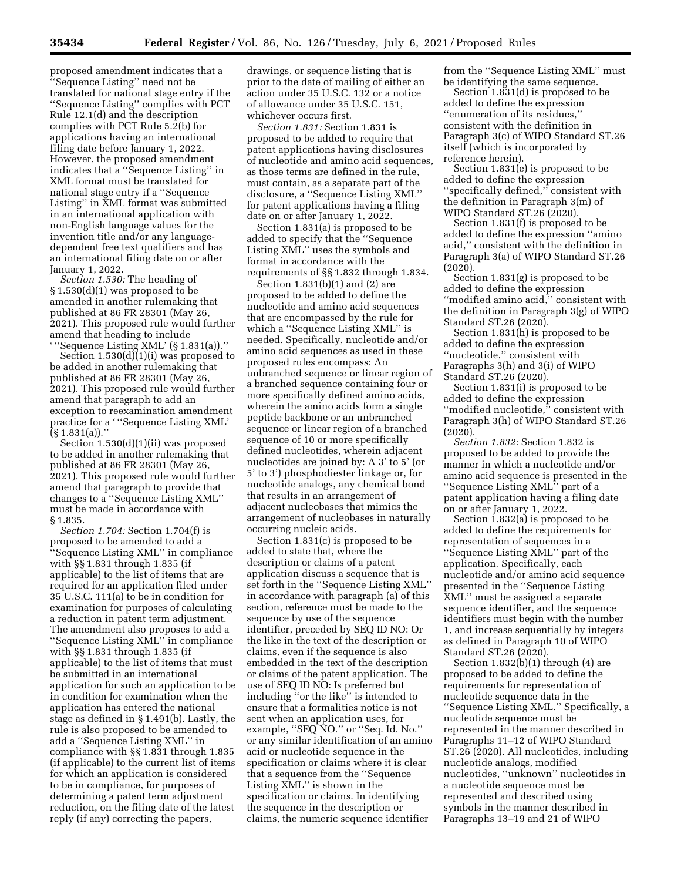proposed amendment indicates that a ''Sequence Listing'' need not be translated for national stage entry if the ''Sequence Listing'' complies with PCT Rule 12.1(d) and the description complies with PCT Rule 5.2(b) for applications having an international filing date before January 1, 2022. However, the proposed amendment indicates that a ''Sequence Listing'' in XML format must be translated for national stage entry if a ''Sequence Listing'' in XML format was submitted in an international application with non-English language values for the invention title and/or any languagedependent free text qualifiers and has an international filing date on or after January 1, 2022.

*Section 1.530:* The heading of § 1.530(d)(1) was proposed to be amended in another rulemaking that published at 86 FR 28301 (May 26, 2021). This proposed rule would further amend that heading to include ' ''Sequence Listing XML' (§ 1.831(a)).''

Section 1.530(d)(1)(i) was proposed to be added in another rulemaking that published at 86 FR 28301 (May 26, 2021). This proposed rule would further amend that paragraph to add an exception to reexamination amendment practice for a ' ''Sequence Listing XML' (§ 1.831(a)).''

Section 1.530(d)(1)(ii) was proposed to be added in another rulemaking that published at 86 FR 28301 (May 26, 2021). This proposed rule would further amend that paragraph to provide that changes to a ''Sequence Listing XML'' must be made in accordance with § 1.835.

*Section 1.704:* Section 1.704(f) is proposed to be amended to add a 'Sequence Listing XML" in compliance with §§ 1.831 through 1.835 (if applicable) to the list of items that are required for an application filed under 35 U.S.C. 111(a) to be in condition for examination for purposes of calculating a reduction in patent term adjustment. The amendment also proposes to add a ''Sequence Listing XML'' in compliance with §§ 1.831 through 1.835 (if applicable) to the list of items that must be submitted in an international application for such an application to be in condition for examination when the application has entered the national stage as defined in § 1.491(b). Lastly, the rule is also proposed to be amended to add a ''Sequence Listing XML'' in compliance with §§ 1.831 through 1.835 (if applicable) to the current list of items for which an application is considered to be in compliance, for purposes of determining a patent term adjustment reduction, on the filing date of the latest reply (if any) correcting the papers,

drawings, or sequence listing that is prior to the date of mailing of either an action under 35 U.S.C. 132 or a notice of allowance under 35 U.S.C. 151, whichever occurs first.

*Section 1.831:* Section 1.831 is proposed to be added to require that patent applications having disclosures of nucleotide and amino acid sequences, as those terms are defined in the rule, must contain, as a separate part of the disclosure, a ''Sequence Listing XML'' for patent applications having a filing date on or after January 1, 2022.

Section 1.831(a) is proposed to be added to specify that the ''Sequence Listing XML'' uses the symbols and format in accordance with the requirements of §§ 1.832 through 1.834.

Section 1.831(b)(1) and (2) are proposed to be added to define the nucleotide and amino acid sequences that are encompassed by the rule for which a ''Sequence Listing XML'' is needed. Specifically, nucleotide and/or amino acid sequences as used in these proposed rules encompass: An unbranched sequence or linear region of a branched sequence containing four or more specifically defined amino acids, wherein the amino acids form a single peptide backbone or an unbranched sequence or linear region of a branched sequence of 10 or more specifically defined nucleotides, wherein adjacent nucleotides are joined by: A 3' to 5' (or 5' to 3') phosphodiester linkage or, for nucleotide analogs, any chemical bond that results in an arrangement of adjacent nucleobases that mimics the arrangement of nucleobases in naturally occurring nucleic acids.

Section 1.831(c) is proposed to be added to state that, where the description or claims of a patent application discuss a sequence that is set forth in the ''Sequence Listing XML'' in accordance with paragraph (a) of this section, reference must be made to the sequence by use of the sequence identifier, preceded by SEQ ID NO: Or the like in the text of the description or claims, even if the sequence is also embedded in the text of the description or claims of the patent application. The use of SEQ ID NO: Is preferred but including ''or the like'' is intended to ensure that a formalities notice is not sent when an application uses, for example, ''SEQ NO.'' or ''Seq. Id. No.'' or any similar identification of an amino acid or nucleotide sequence in the specification or claims where it is clear that a sequence from the ''Sequence Listing XML'' is shown in the specification or claims. In identifying the sequence in the description or claims, the numeric sequence identifier

from the ''Sequence Listing XML'' must be identifying the same sequence.

Section 1.831(d) is proposed to be added to define the expression ''enumeration of its residues,'' consistent with the definition in Paragraph 3(c) of WIPO Standard ST.26 itself (which is incorporated by reference herein).

Section 1.831(e) is proposed to be added to define the expression ''specifically defined,'' consistent with the definition in Paragraph 3(m) of WIPO Standard ST.26 (2020).

Section 1.831(f) is proposed to be added to define the expression ''amino acid,'' consistent with the definition in Paragraph 3(a) of WIPO Standard ST.26 (2020).

Section 1.831(g) is proposed to be added to define the expression ''modified amino acid,'' consistent with the definition in Paragraph 3(g) of WIPO Standard ST.26 (2020).

Section 1.831(h) is proposed to be added to define the expression ''nucleotide,'' consistent with Paragraphs 3(h) and 3(i) of WIPO Standard ST.26 (2020).

Section 1.831(i) is proposed to be added to define the expression "modified nucleotide," consistent with Paragraph 3(h) of WIPO Standard ST.26 (2020).

*Section 1.832:* Section 1.832 is proposed to be added to provide the manner in which a nucleotide and/or amino acid sequence is presented in the ''Sequence Listing XML'' part of a patent application having a filing date on or after January 1, 2022.

Section 1.832(a) is proposed to be added to define the requirements for representation of sequences in a ''Sequence Listing XML'' part of the application. Specifically, each nucleotide and/or amino acid sequence presented in the ''Sequence Listing XML'' must be assigned a separate sequence identifier, and the sequence identifiers must begin with the number 1, and increase sequentially by integers as defined in Paragraph 10 of WIPO Standard ST.26 (2020).

Section  $1.832(b)(1)$  through  $(4)$  are proposed to be added to define the requirements for representation of nucleotide sequence data in the ''Sequence Listing XML.'' Specifically, a nucleotide sequence must be represented in the manner described in Paragraphs 11–12 of WIPO Standard ST.26 (2020). All nucleotides, including nucleotide analogs, modified nucleotides, ''unknown'' nucleotides in a nucleotide sequence must be represented and described using symbols in the manner described in Paragraphs 13–19 and 21 of WIPO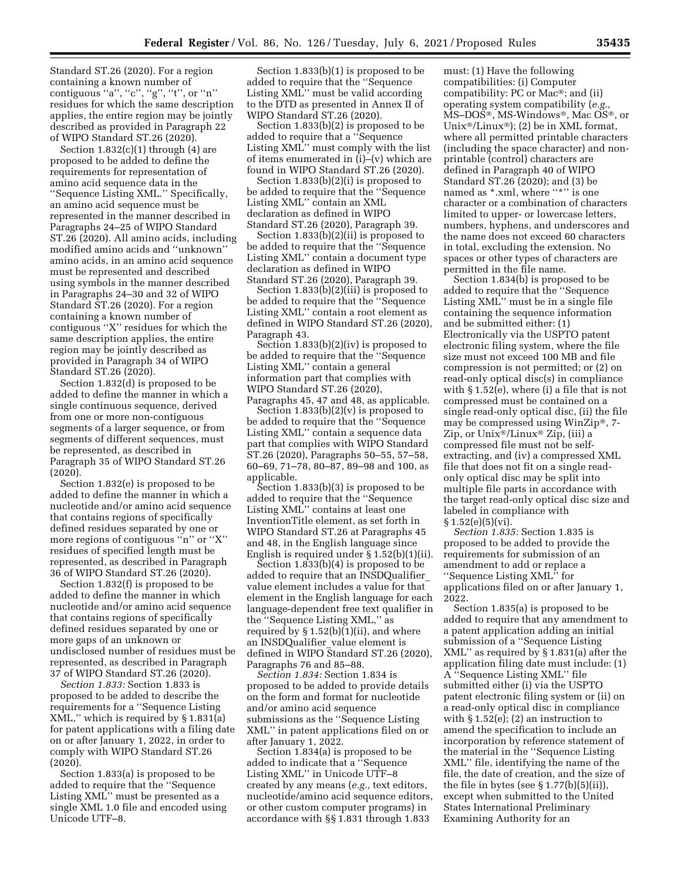Standard ST.26 (2020). For a region containing a known number of contiguous "a", "c", "g", "t", or "n" residues for which the same description applies, the entire region may be jointly described as provided in Paragraph 22 of WIPO Standard ST.26 (2020).

Section  $1.832(c)(1)$  through  $(4)$  are proposed to be added to define the requirements for representation of amino acid sequence data in the ''Sequence Listing XML.'' Specifically, an amino acid sequence must be represented in the manner described in Paragraphs 24–25 of WIPO Standard ST.26 (2020). All amino acids, including modified amino acids and ''unknown'' amino acids, in an amino acid sequence must be represented and described using symbols in the manner described in Paragraphs 24–30 and 32 of WIPO Standard ST.26 (2020). For a region containing a known number of contiguous ''X'' residues for which the same description applies, the entire region may be jointly described as provided in Paragraph 34 of WIPO Standard ST.26 (2020).

Section 1.832(d) is proposed to be added to define the manner in which a single continuous sequence, derived from one or more non-contiguous segments of a larger sequence, or from segments of different sequences, must be represented, as described in Paragraph 35 of WIPO Standard ST.26 (2020).

Section 1.832(e) is proposed to be added to define the manner in which a nucleotide and/or amino acid sequence that contains regions of specifically defined residues separated by one or more regions of contiguous "n" or "X" residues of specified length must be represented, as described in Paragraph 36 of WIPO Standard ST.26 (2020).

Section 1.832(f) is proposed to be added to define the manner in which nucleotide and/or amino acid sequence that contains regions of specifically defined residues separated by one or more gaps of an unknown or undisclosed number of residues must be represented, as described in Paragraph 37 of WIPO Standard ST.26 (2020).

*Section 1.833:* Section 1.833 is proposed to be added to describe the requirements for a ''Sequence Listing XML,'' which is required by § 1.831(a) for patent applications with a filing date on or after January 1, 2022, in order to comply with WIPO Standard ST.26 (2020).

Section 1.833(a) is proposed to be added to require that the ''Sequence Listing XML'' must be presented as a single XML 1.0 file and encoded using Unicode UTF–8.

Section 1.833(b)(1) is proposed to be added to require that the ''Sequence Listing XML'' must be valid according to the DTD as presented in Annex II of WIPO Standard ST.26 (2020).

Section 1.833(b)(2) is proposed to be added to require that a ''Sequence Listing XML'' must comply with the list of items enumerated in (i)–(v) which are found in WIPO Standard ST.26 (2020).

Section 1.833(b)(2)(i) is proposed to be added to require that the ''Sequence Listing XML'' contain an XML declaration as defined in WIPO Standard ST.26 (2020), Paragraph 39.

Section 1.833(b)(2)(ii) is proposed to be added to require that the ''Sequence Listing XML'' contain a document type declaration as defined in WIPO Standard ST.26 (2020), Paragraph 39.

Section 1.833(b)(2)(iii) is proposed to be added to require that the ''Sequence Listing XML'' contain a root element as defined in WIPO Standard ST.26 (2020), Paragraph 43.

Section 1.833(b)(2)(iv) is proposed to be added to require that the ''Sequence Listing XML'' contain a general information part that complies with WIPO Standard ST.26 (2020), Paragraphs 45, 47 and 48, as applicable.

Section 1.833(b)(2)(v) is proposed to be added to require that the ''Sequence Listing XML'' contain a sequence data part that complies with WIPO Standard ST.26 (2020), Paragraphs 50–55, 57–58, 60–69, 71–78, 80–87, 89–98 and 100, as applicable.

Section 1.833(b)(3) is proposed to be added to require that the ''Sequence Listing XML'' contains at least one InventionTitle element, as set forth in WIPO Standard ST.26 at Paragraphs 45 and 48, in the English language since English is required under § 1.52(b)(1)(ii).

Section 1.833(b)(4) is proposed to be added to require that an INSDQualifier\_ value element includes a value for that element in the English language for each language-dependent free text qualifier in the ''Sequence Listing XML,'' as required by § 1.52(b)(1)(ii), and where an INSDQualifier value element is defined in WIPO Standard ST.26 (2020), Paragraphs 76 and 85–88.

*Section 1.834:* Section 1.834 is proposed to be added to provide details on the form and format for nucleotide and/or amino acid sequence submissions as the ''Sequence Listing XML'' in patent applications filed on or after January 1, 2022.

Section 1.834(a) is proposed to be added to indicate that a ''Sequence Listing XML'' in Unicode UTF–8 created by any means (*e.g.,* text editors, nucleotide/amino acid sequence editors, or other custom computer programs) in accordance with §§ 1.831 through 1.833

must: (1) Have the following compatibilities: (i) Computer compatibility: PC or Mac®; and (ii) operating system compatibility (*e.g.,*  MS–DOS®, MS-Windows®, Mac OS®, or Unix<sup>®</sup>/Linux<sup>®</sup>); (2) be in XML format, where all permitted printable characters (including the space character) and nonprintable (control) characters are defined in Paragraph 40 of WIPO Standard ST.26 (2020); and (3) be named as  $*$  xml, where "\*" is one character or a combination of characters limited to upper- or lowercase letters, numbers, hyphens, and underscores and the name does not exceed 60 characters in total, excluding the extension. No spaces or other types of characters are permitted in the file name.

Section 1.834(b) is proposed to be added to require that the ''Sequence Listing XML'' must be in a single file containing the sequence information and be submitted either: (1) Electronically via the USPTO patent electronic filing system, where the file size must not exceed 100 MB and file compression is not permitted; or (2) on read-only optical disc(s) in compliance with § 1.52(e), where (i) a file that is not compressed must be contained on a single read-only optical disc, (ii) the file may be compressed using WinZip®, 7- Zip, or Unix®/Linux® Zip, (iii) a compressed file must not be selfextracting, and (iv) a compressed XML file that does not fit on a single readonly optical disc may be split into multiple file parts in accordance with the target read-only optical disc size and labeled in compliance with  $§ 1.52(e)(5)(vi).$ 

*Section 1.835:* Section 1.835 is proposed to be added to provide the requirements for submission of an amendment to add or replace a ''Sequence Listing XML'' for applications filed on or after January 1, 2022.

Section 1.835(a) is proposed to be added to require that any amendment to a patent application adding an initial submission of a ''Sequence Listing XML'' as required by § 1.831(a) after the application filing date must include: (1) A ''Sequence Listing XML'' file submitted either (i) via the USPTO patent electronic filing system or (ii) on a read-only optical disc in compliance with  $\S 1.52(e)$ ; (2) an instruction to amend the specification to include an incorporation by reference statement of the material in the ''Sequence Listing XML'' file, identifying the name of the file, the date of creation, and the size of the file in bytes (see § 1.77(b)(5)(ii)), except when submitted to the United States International Preliminary Examining Authority for an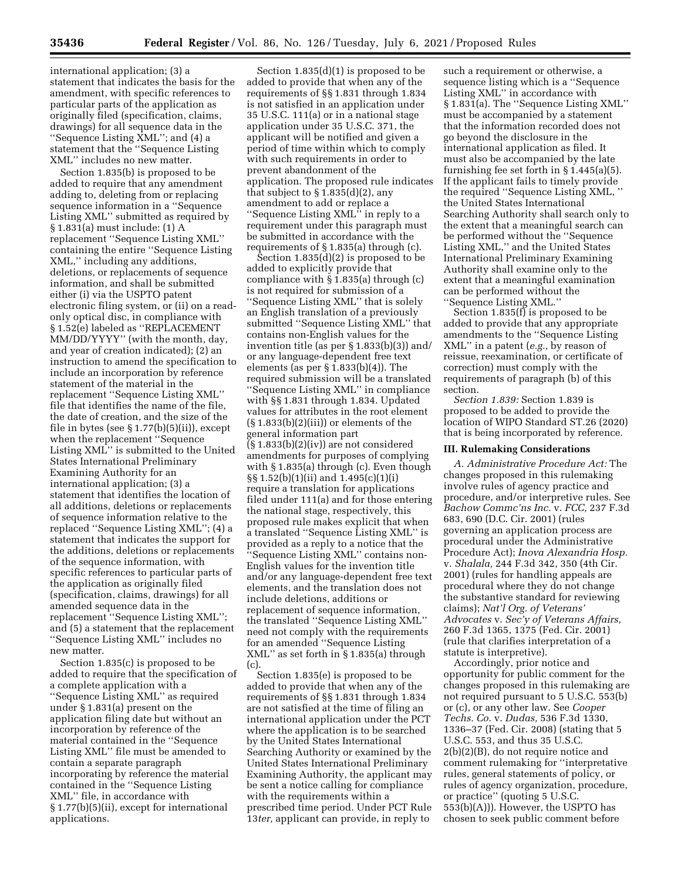international application; (3) a statement that indicates the basis for the amendment, with specific references to particular parts of the application as originally filed (specification, claims, drawings) for all sequence data in the ''Sequence Listing XML''; and (4) a statement that the ''Sequence Listing XML'' includes no new matter.

Section 1.835(b) is proposed to be added to require that any amendment adding to, deleting from or replacing sequence information in a ''Sequence Listing XML'' submitted as required by § 1.831(a) must include: (1) A replacement ''Sequence Listing XML'' containing the entire ''Sequence Listing XML,'' including any additions, deletions, or replacements of sequence information, and shall be submitted either (i) via the USPTO patent electronic filing system, or (ii) on a readonly optical disc, in compliance with § 1.52(e) labeled as ''REPLACEMENT MM/DD/YYYY'' (with the month, day, and year of creation indicated); (2) an instruction to amend the specification to include an incorporation by reference statement of the material in the replacement ''Sequence Listing XML'' file that identifies the name of the file, the date of creation, and the size of the file in bytes (see  $\S 1.77(b)(5)(ii)$ ), except when the replacement ''Sequence Listing XML'' is submitted to the United States International Preliminary Examining Authority for an international application; (3) a statement that identifies the location of all additions, deletions or replacements of sequence information relative to the replaced ''Sequence Listing XML''; (4) a statement that indicates the support for the additions, deletions or replacements of the sequence information, with specific references to particular parts of the application as originally filed (specification, claims, drawings) for all amended sequence data in the replacement ''Sequence Listing XML''; and (5) a statement that the replacement ''Sequence Listing XML'' includes no new matter.

Section 1.835(c) is proposed to be added to require that the specification of a complete application with a ''Sequence Listing XML'' as required under § 1.831(a) present on the application filing date but without an incorporation by reference of the material contained in the ''Sequence Listing XML'' file must be amended to contain a separate paragraph incorporating by reference the material contained in the ''Sequence Listing XML'' file, in accordance with § 1.77(b)(5)(ii), except for international applications.

Section 1.835(d)(1) is proposed to be added to provide that when any of the requirements of §§ 1.831 through 1.834 is not satisfied in an application under 35 U.S.C. 111(a) or in a national stage application under 35 U.S.C. 371, the applicant will be notified and given a period of time within which to comply with such requirements in order to prevent abandonment of the application. The proposed rule indicates that subject to  $\S 1.835(d)(2)$ , any amendment to add or replace a ''Sequence Listing XML'' in reply to a requirement under this paragraph must be submitted in accordance with the requirements of § 1.835(a) through (c).

Section 1.835(d)(2) is proposed to be added to explicitly provide that compliance with  $\S$  1.835(a) through (c) is not required for submission of a ''Sequence Listing XML'' that is solely an English translation of a previously submitted ''Sequence Listing XML'' that contains non-English values for the invention title (as per § 1.833(b)(3)) and/ or any language-dependent free text elements (as per § 1.833(b)(4)). The required submission will be a translated ''Sequence Listing XML'' in compliance with §§ 1.831 through 1.834. Updated values for attributes in the root element  $(\S 1.833(b)(2)(iii))$  or elements of the general information part  $(\S 1.833(b)(2)(iv))$  are not considered amendments for purposes of complying with § 1.835(a) through (c). Even though §§ 1.52(b)(1)(ii) and 1.495(c)(1)(i) require a translation for applications filed under 111(a) and for those entering the national stage, respectively, this proposed rule makes explicit that when a translated ''Sequence Listing XML'' is provided as a reply to a notice that the ''Sequence Listing XML'' contains non-English values for the invention title and/or any language-dependent free text elements, and the translation does not include deletions, additions or replacement of sequence information, the translated ''Sequence Listing XML'' need not comply with the requirements for an amended ''Sequence Listing XML'' as set forth in § 1.835(a) through (c).

Section 1.835(e) is proposed to be added to provide that when any of the requirements of §§ 1.831 through 1.834 are not satisfied at the time of filing an international application under the PCT where the application is to be searched by the United States International Searching Authority or examined by the United States International Preliminary Examining Authority, the applicant may be sent a notice calling for compliance with the requirements within a prescribed time period. Under PCT Rule 13*ter,* applicant can provide, in reply to

such a requirement or otherwise, a sequence listing which is a ''Sequence Listing XML'' in accordance with § 1.831(a). The ''Sequence Listing XML'' must be accompanied by a statement that the information recorded does not go beyond the disclosure in the international application as filed. It must also be accompanied by the late furnishing fee set forth in § 1.445(a)(5). If the applicant fails to timely provide the required ''Sequence Listing XML, '' the United States International Searching Authority shall search only to the extent that a meaningful search can be performed without the ''Sequence Listing XML,'' and the United States International Preliminary Examining Authority shall examine only to the extent that a meaningful examination can be performed without the ''Sequence Listing XML.''

Section 1.835(f) is proposed to be added to provide that any appropriate amendments to the ''Sequence Listing XML'' in a patent (*e.g.,* by reason of reissue, reexamination, or certificate of correction) must comply with the requirements of paragraph (b) of this section.

*Section 1.839:* Section 1.839 is proposed to be added to provide the location of WIPO Standard ST.26 (2020) that is being incorporated by reference.

## **III. Rulemaking Considerations**

*A. Administrative Procedure Act:* The changes proposed in this rulemaking involve rules of agency practice and procedure, and/or interpretive rules. See *Bachow Commc'ns Inc.* v. *FCC,* 237 F.3d 683, 690 (D.C. Cir. 2001) (rules governing an application process are procedural under the Administrative Procedure Act); *Inova Alexandria Hosp.*  v. *Shalala,* 244 F.3d 342, 350 (4th Cir. 2001) (rules for handling appeals are procedural where they do not change the substantive standard for reviewing claims); *Nat'l Org. of Veterans' Advocates* v. *Sec'y of Veterans Affairs,*  260 F.3d 1365, 1375 (Fed. Cir. 2001) (rule that clarifies interpretation of a statute is interpretive).

Accordingly, prior notice and opportunity for public comment for the changes proposed in this rulemaking are not required pursuant to 5 U.S.C. 553(b) or (c), or any other law. See *Cooper Techs. Co.* v. *Dudas,* 536 F.3d 1330, 1336–37 (Fed. Cir. 2008) (stating that 5 U.S.C. 553, and thus 35 U.S.C. 2(b)(2)(B), do not require notice and comment rulemaking for ''interpretative rules, general statements of policy, or rules of agency organization, procedure, or practice'' (quoting 5 U.S.C. 553(b)(A))). However, the USPTO has chosen to seek public comment before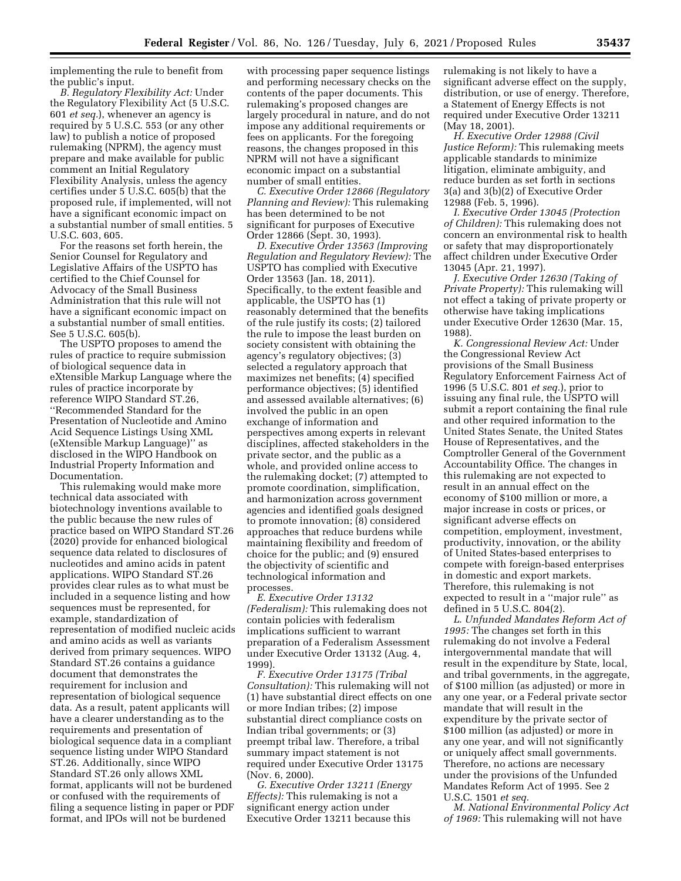implementing the rule to benefit from the public's input.

*B. Regulatory Flexibility Act:* Under the Regulatory Flexibility Act (5 U.S.C. 601 *et seq.*), whenever an agency is required by 5 U.S.C. 553 (or any other law) to publish a notice of proposed rulemaking (NPRM), the agency must prepare and make available for public comment an Initial Regulatory Flexibility Analysis, unless the agency certifies under 5 U.S.C. 605(b) that the proposed rule, if implemented, will not have a significant economic impact on a substantial number of small entities. 5 U.S.C. 603, 605.

For the reasons set forth herein, the Senior Counsel for Regulatory and Legislative Affairs of the USPTO has certified to the Chief Counsel for Advocacy of the Small Business Administration that this rule will not have a significant economic impact on a substantial number of small entities. See 5 U.S.C. 605(b).

The USPTO proposes to amend the rules of practice to require submission of biological sequence data in eXtensible Markup Language where the rules of practice incorporate by reference WIPO Standard ST.26, ''Recommended Standard for the Presentation of Nucleotide and Amino Acid Sequence Listings Using XML (eXtensible Markup Language)'' as disclosed in the WIPO Handbook on Industrial Property Information and Documentation.

This rulemaking would make more technical data associated with biotechnology inventions available to the public because the new rules of practice based on WIPO Standard ST.26 (2020) provide for enhanced biological sequence data related to disclosures of nucleotides and amino acids in patent applications. WIPO Standard ST.26 provides clear rules as to what must be included in a sequence listing and how sequences must be represented, for example, standardization of representation of modified nucleic acids and amino acids as well as variants derived from primary sequences. WIPO Standard ST.26 contains a guidance document that demonstrates the requirement for inclusion and representation of biological sequence data. As a result, patent applicants will have a clearer understanding as to the requirements and presentation of biological sequence data in a compliant sequence listing under WIPO Standard ST.26. Additionally, since WIPO Standard ST.26 only allows XML format, applicants will not be burdened or confused with the requirements of filing a sequence listing in paper or PDF format, and IPOs will not be burdened

with processing paper sequence listings and performing necessary checks on the contents of the paper documents. This rulemaking's proposed changes are largely procedural in nature, and do not impose any additional requirements or fees on applicants. For the foregoing reasons, the changes proposed in this NPRM will not have a significant economic impact on a substantial number of small entities.

*C. Executive Order 12866 (Regulatory Planning and Review):* This rulemaking has been determined to be not significant for purposes of Executive Order 12866 (Sept. 30, 1993).

*D. Executive Order 13563 (Improving Regulation and Regulatory Review):* The USPTO has complied with Executive Order 13563 (Jan. 18, 2011). Specifically, to the extent feasible and applicable, the USPTO has (1) reasonably determined that the benefits of the rule justify its costs; (2) tailored the rule to impose the least burden on society consistent with obtaining the agency's regulatory objectives; (3) selected a regulatory approach that maximizes net benefits; (4) specified performance objectives; (5) identified and assessed available alternatives; (6) involved the public in an open exchange of information and perspectives among experts in relevant disciplines, affected stakeholders in the private sector, and the public as a whole, and provided online access to the rulemaking docket; (7) attempted to promote coordination, simplification, and harmonization across government agencies and identified goals designed to promote innovation; (8) considered approaches that reduce burdens while maintaining flexibility and freedom of choice for the public; and (9) ensured the objectivity of scientific and technological information and processes.

*E. Executive Order 13132 (Federalism):* This rulemaking does not contain policies with federalism implications sufficient to warrant preparation of a Federalism Assessment under Executive Order 13132 (Aug. 4, 1999).

*F. Executive Order 13175 (Tribal Consultation):* This rulemaking will not (1) have substantial direct effects on one or more Indian tribes; (2) impose substantial direct compliance costs on Indian tribal governments; or (3) preempt tribal law. Therefore, a tribal summary impact statement is not required under Executive Order 13175 (Nov. 6, 2000).

*G. Executive Order 13211 (Energy Effects):* This rulemaking is not a significant energy action under Executive Order 13211 because this

rulemaking is not likely to have a significant adverse effect on the supply, distribution, or use of energy. Therefore, a Statement of Energy Effects is not required under Executive Order 13211 (May 18, 2001).

*H. Executive Order 12988 (Civil Justice Reform):* This rulemaking meets applicable standards to minimize litigation, eliminate ambiguity, and reduce burden as set forth in sections 3(a) and 3(b)(2) of Executive Order 12988 (Feb. 5, 1996).

*I. Executive Order 13045 (Protection of Children):* This rulemaking does not concern an environmental risk to health or safety that may disproportionately affect children under Executive Order 13045 (Apr. 21, 1997).

*J. Executive Order 12630 (Taking of Private Property):* This rulemaking will not effect a taking of private property or otherwise have taking implications under Executive Order 12630 (Mar. 15, 1988).

*K. Congressional Review Act:* Under the Congressional Review Act provisions of the Small Business Regulatory Enforcement Fairness Act of 1996 (5 U.S.C. 801 *et seq.*), prior to issuing any final rule, the USPTO will submit a report containing the final rule and other required information to the United States Senate, the United States House of Representatives, and the Comptroller General of the Government Accountability Office. The changes in this rulemaking are not expected to result in an annual effect on the economy of \$100 million or more, a major increase in costs or prices, or significant adverse effects on competition, employment, investment, productivity, innovation, or the ability of United States-based enterprises to compete with foreign-based enterprises in domestic and export markets. Therefore, this rulemaking is not expected to result in a ''major rule'' as defined in 5 U.S.C. 804(2).

*L. Unfunded Mandates Reform Act of 1995:* The changes set forth in this rulemaking do not involve a Federal intergovernmental mandate that will result in the expenditure by State, local, and tribal governments, in the aggregate, of \$100 million (as adjusted) or more in any one year, or a Federal private sector mandate that will result in the expenditure by the private sector of \$100 million (as adjusted) or more in any one year, and will not significantly or uniquely affect small governments. Therefore, no actions are necessary under the provisions of the Unfunded Mandates Reform Act of 1995. See 2 U.S.C. 1501 *et seq.* 

*M. National Environmental Policy Act of 1969:* This rulemaking will not have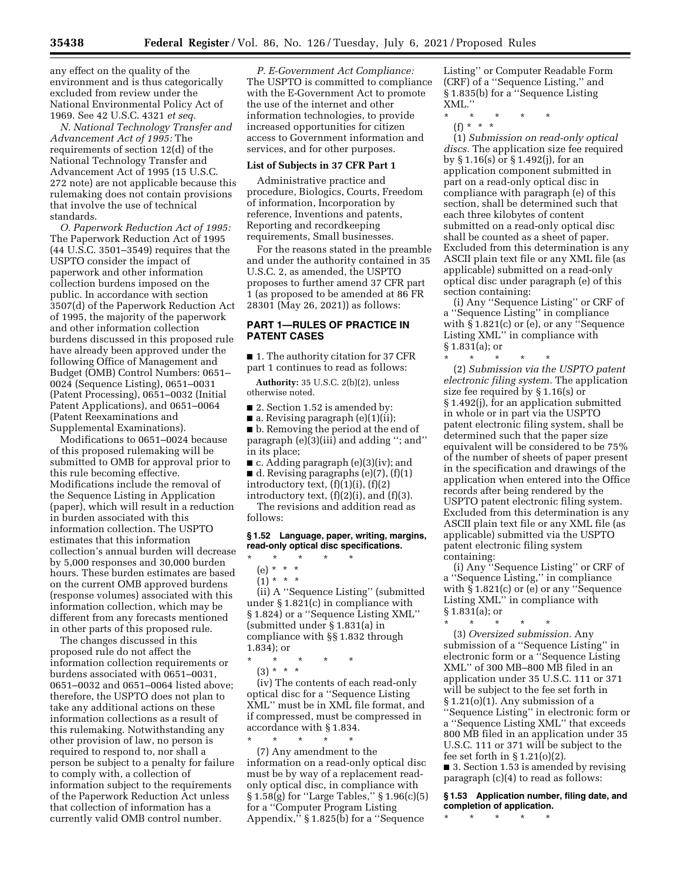any effect on the quality of the environment and is thus categorically excluded from review under the National Environmental Policy Act of 1969. See 42 U.S.C. 4321 *et seq.* 

*N. National Technology Transfer and Advancement Act of 1995:* The requirements of section 12(d) of the National Technology Transfer and Advancement Act of 1995 (15 U.S.C. 272 note) are not applicable because this rulemaking does not contain provisions that involve the use of technical standards.

*O. Paperwork Reduction Act of 1995:*  The Paperwork Reduction Act of 1995 (44 U.S.C. 3501–3549) requires that the USPTO consider the impact of paperwork and other information collection burdens imposed on the public. In accordance with section 3507(d) of the Paperwork Reduction Act of 1995, the majority of the paperwork and other information collection burdens discussed in this proposed rule have already been approved under the following Office of Management and Budget (OMB) Control Numbers: 0651– 0024 (Sequence Listing), 0651–0031 (Patent Processing), 0651–0032 (Initial Patent Applications), and 0651–0064 (Patent Reexaminations and Supplemental Examinations).

Modifications to 0651–0024 because of this proposed rulemaking will be submitted to OMB for approval prior to this rule becoming effective. Modifications include the removal of the Sequence Listing in Application (paper), which will result in a reduction in burden associated with this information collection. The USPTO estimates that this information collection's annual burden will decrease by 5,000 responses and 30,000 burden hours. These burden estimates are based on the current OMB approved burdens (response volumes) associated with this information collection, which may be different from any forecasts mentioned in other parts of this proposed rule.

The changes discussed in this proposed rule do not affect the information collection requirements or burdens associated with 0651–0031, 0651–0032 and 0651–0064 listed above; therefore, the USPTO does not plan to take any additional actions on these information collections as a result of this rulemaking. Notwithstanding any other provision of law, no person is required to respond to, nor shall a person be subject to a penalty for failure to comply with, a collection of information subject to the requirements of the Paperwork Reduction Act unless that collection of information has a currently valid OMB control number.

*P. E-Government Act Compliance:*  The USPTO is committed to compliance with the E-Government Act to promote the use of the internet and other information technologies, to provide increased opportunities for citizen access to Government information and services, and for other purposes.

### **List of Subjects in 37 CFR Part 1**

Administrative practice and procedure, Biologics, Courts, Freedom of information, Incorporation by reference, Inventions and patents, Reporting and recordkeeping requirements, Small businesses.

For the reasons stated in the preamble and under the authority contained in 35 U.S.C. 2, as amended, the USPTO proposes to further amend 37 CFR part 1 (as proposed to be amended at 86 FR 28301 (May 26, 2021)) as follows:

# **PART 1—RULES OF PRACTICE IN PATENT CASES**

■ 1. The authority citation for 37 CFR part 1 continues to read as follows:

**Authority:** 35 U.S.C. 2(b)(2), unless otherwise noted.

■ 2. Section 1.52 is amended by:

 $\blacksquare$  a. Revising paragraph (e)(1)(ii);

■ b. Removing the period at the end of paragraph (e)(3)(iii) and adding ''; and'' in its place;

■ c. Adding paragraph (e)(3)(iv); and  $\blacksquare$  d. Revising paragraphs (e)(7), (f)(1)

introductory text,  $(f)(1)(i)$ ,  $(f)(2)$ introductory text,  $(f)(2)(i)$ , and  $(f)(3)$ .

The revisions and addition read as follows:

## **§ 1.52 Language, paper, writing, margins, read-only optical disc specifications.**

- \* \* \* \* \*
	- (e) \* \* \*

 $(1) * * * *$ 

(ii) A ''Sequence Listing'' (submitted under § 1.821(c) in compliance with § 1.824) or a ''Sequence Listing XML'' (submitted under § 1.831(a) in compliance with §§ 1.832 through 1.834); or

(3) \* \* \*

(iv) The contents of each read-only optical disc for a ''Sequence Listing XML'' must be in XML file format, and if compressed, must be compressed in accordance with § 1.834.

\* \* \* \* \* (7) Any amendment to the information on a read-only optical disc must be by way of a replacement readonly optical disc, in compliance with § 1.58(g) for ''Large Tables,'' § 1.96(c)(5) for a ''Computer Program Listing Appendix,'' § 1.825(b) for a ''Sequence

Listing'' or Computer Readable Form (CRF) of a ''Sequence Listing,'' and § 1.835(b) for a ''Sequence Listing XML.''

- \* \* \* \* \*
	- (f) \* \* \*

(1) *Submission on read-only optical discs.* The application size fee required by § 1.16(s) or § 1.492(j), for an application component submitted in part on a read-only optical disc in compliance with paragraph (e) of this section, shall be determined such that each three kilobytes of content submitted on a read-only optical disc shall be counted as a sheet of paper. Excluded from this determination is any ASCII plain text file or any XML file (as applicable) submitted on a read-only optical disc under paragraph (e) of this section containing:

(i) Any ''Sequence Listing'' or CRF of a ''Sequence Listing'' in compliance with § 1.821(c) or (e), or any ''Sequence Listing XML'' in compliance with § 1.831(a); or

\* \* \* \* \* (2) *Submission via the USPTO patent electronic filing system.* The application size fee required by § 1.16(s) or § 1.492(j), for an application submitted in whole or in part via the USPTO patent electronic filing system, shall be determined such that the paper size equivalent will be considered to be 75% of the number of sheets of paper present in the specification and drawings of the application when entered into the Office records after being rendered by the USPTO patent electronic filing system. Excluded from this determination is any ASCII plain text file or any XML file (as applicable) submitted via the USPTO patent electronic filing system containing:

(i) Any ''Sequence Listing'' or CRF of a ''Sequence Listing,'' in compliance with § 1.821(c) or (e) or any ''Sequence Listing XML'' in compliance with § 1.831(a); or

\* \* \* \* \* (3) *Oversized submission.* Any submission of a ''Sequence Listing'' in electronic form or a ''Sequence Listing XML'' of 300 MB–800 MB filed in an application under 35 U.S.C. 111 or 371 will be subject to the fee set forth in § 1.21(o)(1). Any submission of a ''Sequence Listing'' in electronic form or a ''Sequence Listing XML'' that exceeds 800 MB filed in an application under 35 U.S.C. 111 or 371 will be subject to the fee set forth in  $\S 1.21(0)(2)$ .

■ 3. Section 1.53 is amended by revising paragraph (c)(4) to read as follows:

**§ 1.53 Application number, filing date, and completion of application.** 

\* \* \* \* \*

<sup>\* \* \* \* \*</sup>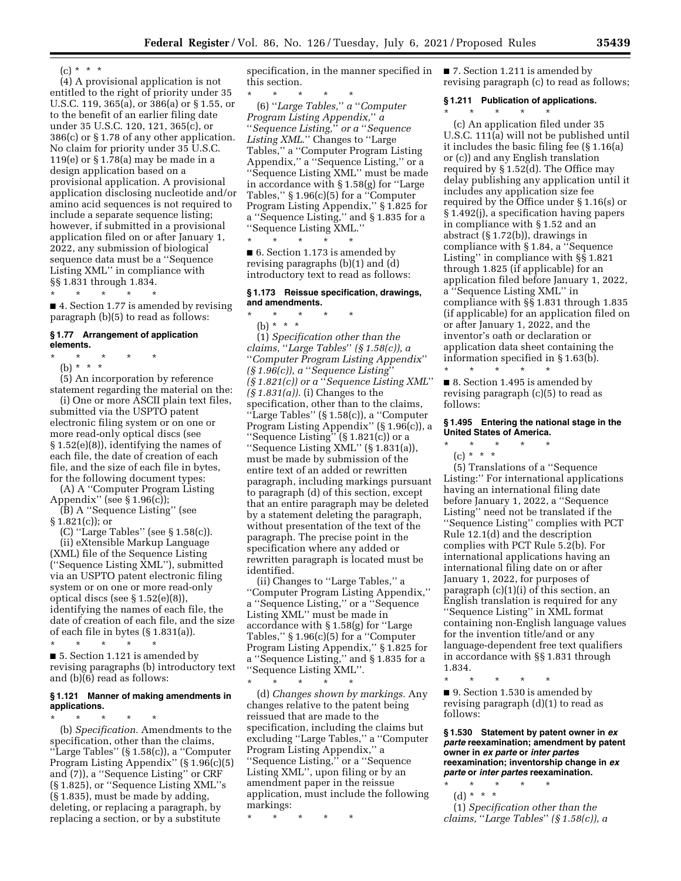$(c) * * * *$ 

(4) A provisional application is not entitled to the right of priority under 35 U.S.C. 119, 365(a), or 386(a) or § 1.55, or to the benefit of an earlier filing date under 35 U.S.C. 120, 121, 365(c), or 386(c) or § 1.78 of any other application. No claim for priority under 35 U.S.C. 119(e) or § 1.78(a) may be made in a design application based on a provisional application. A provisional application disclosing nucleotide and/or amino acid sequences is not required to include a separate sequence listing; however, if submitted in a provisional application filed on or after January 1, 2022, any submission of biological sequence data must be a ''Sequence Listing XML'' in compliance with §§ 1.831 through 1.834.

\* \* \* \* \* ■ 4. Section 1.77 is amended by revising paragraph (b)(5) to read as follows:

## **§ 1.77 Arrangement of application elements.**

\* \* \* \* \* (b) \* \* \*

(5) An incorporation by reference statement regarding the material on the:

(i) One or more ASCII plain text files, submitted via the USPTO patent electronic filing system or on one or more read-only optical discs (see § 1.52(e)(8)), identifying the names of each file, the date of creation of each file, and the size of each file in bytes, for the following document types:

(A) A ''Computer Program Listing Appendix'' (see § 1.96(c));

(B) A ''Sequence Listing'' (see  $§ 1.821(c)$ ; or

(C) ''Large Tables'' (see § 1.58(c)). (ii) eXtensible Markup Language (XML) file of the Sequence Listing (''Sequence Listing XML''), submitted via an USPTO patent electronic filing system or on one or more read-only optical discs (see § 1.52(e)(8)), identifying the names of each file, the date of creation of each file, and the size of each file in bytes  $(\S 1.831(a))$ .

\* \* \* \* \* ■ 5. Section 1.121 is amended by revising paragraphs (b) introductory text and (b)(6) read as follows:

# **§ 1.121 Manner of making amendments in applications.**

\* \* \* \* \* (b) *Specification.* Amendments to the specification, other than the claims, ''Large Tables'' (§ 1.58(c)), a ''Computer Program Listing Appendix'' (§ 1.96(c)(5) and (7)), a ''Sequence Listing'' or CRF (§ 1.825), or ''Sequence Listing XML''s (§ 1.835), must be made by adding, deleting, or replacing a paragraph, by replacing a section, or by a substitute

specification, in the manner specified in this section. \* \* \* \* \*

(6) ''*Large Tables,*'' *a* ''*Computer Program Listing Appendix,*'' *a*  ''*Sequence Listing,*'' *or a* ''*Sequence*  Listing XML." Changes to "Large Tables,'' a ''Computer Program Listing Appendix,'' a ''Sequence Listing,'' or a ''Sequence Listing XML'' must be made in accordance with § 1.58(g) for ''Large Tables,"  $\S 1.96(c)(5)$  for a "Computer" Program Listing Appendix,'' § 1.825 for a ''Sequence Listing,'' and § 1.835 for a ''Sequence Listing XML.'' \* \* \* \* \*

■ 6. Section 1.173 is amended by revising paragraphs (b)(1) and (d) introductory text to read as follows:

# **§ 1.173 Reissue specification, drawings, and amendments.**

\* \* \* \* \*

(b) \* \* \* (1) *Specification other than the claims,* ''*Large Tables*'' *(§ 1.58(c)), a*  ''*Computer Program Listing Appendix*'' *(§ 1.96(c)), a* ''*Sequence Listing*'' *(§ 1.821(c)) or a* ''*Sequence Listing XML*'' *(§ 1.831(a)).* (i) Changes to the specification, other than to the claims, ''Large Tables'' (§ 1.58(c)), a ''Computer Program Listing Appendix'' (§ 1.96(c)), a ''Sequence Listing'' (§ 1.821(c)) or a ''Sequence Listing XML'' (§ 1.831(a)), must be made by submission of the entire text of an added or rewritten paragraph, including markings pursuant to paragraph (d) of this section, except that an entire paragraph may be deleted by a statement deleting the paragraph, without presentation of the text of the paragraph. The precise point in the specification where any added or rewritten paragraph is located must be identified.

(ii) Changes to ''Large Tables,'' a ''Computer Program Listing Appendix,'' a ''Sequence Listing,'' or a ''Sequence Listing XML'' must be made in accordance with § 1.58(g) for ''Large Tables,'' § 1.96(c)(5) for a ''Computer Program Listing Appendix,'' § 1.825 for a ''Sequence Listing,'' and § 1.835 for a ''Sequence Listing XML''.

\* \* \* \* \* (d) *Changes shown by markings.* Any changes relative to the patent being reissued that are made to the specification, including the claims but excluding ''Large Tables,'' a ''Computer Program Listing Appendix,'' a ''Sequence Listing,'' or a ''Sequence Listing XML'', upon filing or by an amendment paper in the reissue application, must include the following markings:

\* \* \* \* \*

■ 7. Section 1.211 is amended by revising paragraph (c) to read as follows;

# **§ 1.211 Publication of applications.**

\* \* \* \* \* (c) An application filed under 35 U.S.C. 111(a) will not be published until it includes the basic filing fee (§ 1.16(a) or (c)) and any English translation required by § 1.52(d). The Office may delay publishing any application until it includes any application size fee required by the Office under § 1.16(s) or § 1.492(j), a specification having papers in compliance with § 1.52 and an abstract (§ 1.72(b)), drawings in compliance with § 1.84, a ''Sequence Listing'' in compliance with §§ 1.821 through 1.825 (if applicable) for an application filed before January 1, 2022, a ''Sequence Listing XML'' in compliance with §§ 1.831 through 1.835 (if applicable) for an application filed on or after January 1, 2022, and the inventor's oath or declaration or application data sheet containing the information specified in § 1.63(b). \* \* \* \* \*

■ 8. Section 1.495 is amended by revising paragraph (c)(5) to read as follows:

# **§ 1.495 Entering the national stage in the United States of America.**

- \* \* \* \* \*
	- (c) \* \* \*

(5) Translations of a ''Sequence Listing:'' For international applications having an international filing date before January 1, 2022, a ''Sequence Listing'' need not be translated if the ''Sequence Listing'' complies with PCT Rule 12.1(d) and the description complies with PCT Rule 5.2(b). For international applications having an international filing date on or after January 1, 2022, for purposes of paragraph (c)(1)(i) of this section, an English translation is required for any ''Sequence Listing'' in XML format containing non-English language values for the invention title/and or any language-dependent free text qualifiers in accordance with §§ 1.831 through 1.834.

\* \* \* \* \*

■ 9. Section 1.530 is amended by revising paragraph (d)(1) to read as follows:

**§ 1.530 Statement by patent owner in** *ex parte* **reexamination; amendment by patent owner in** *ex parte* **or** *inter partes*  **reexamination; inventorship change in** *ex parte* **or** *inter partes* **reexamination.** 

- \* \* \* \* \*
	- (d) \* \* \*

(1) *Specification other than the claims,* ''*Large Tables*'' *(§ 1.58(c)), a*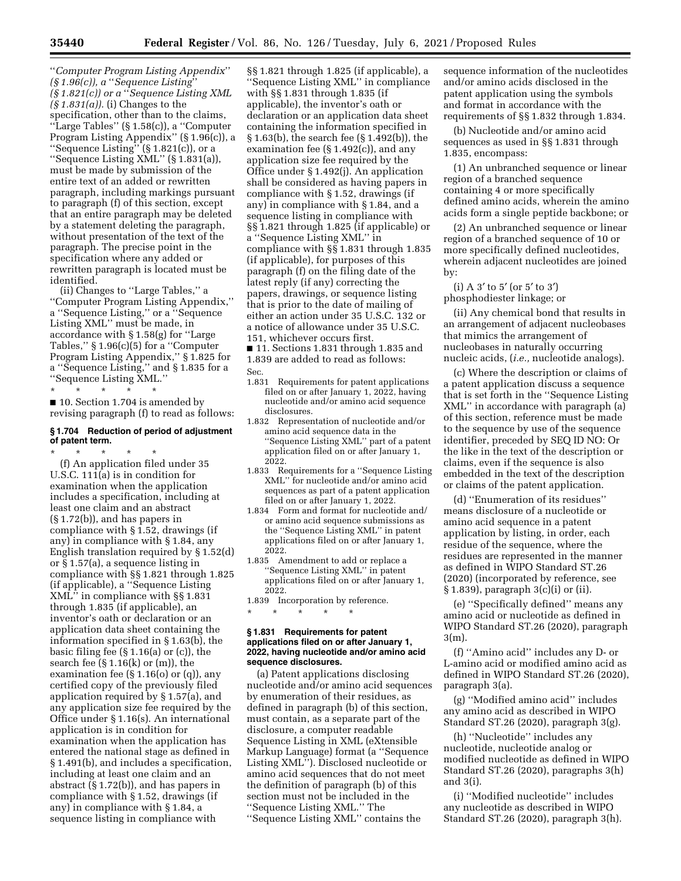''*Computer Program Listing Appendix*'' *(§ 1.96(c)), a* ''*Sequence Listing*'' *(§ 1.821(c)) or a* ''*Sequence Listing XML (§ 1.831(a)).* (i) Changes to the specification, other than to the claims, ''Large Tables'' (§ 1.58(c)), a ''Computer Program Listing Appendix'' (§ 1.96(c)), a ''Sequence Listing'' (§ 1.821(c)), or a ''Sequence Listing XML'' (§ 1.831(a)), must be made by submission of the entire text of an added or rewritten paragraph, including markings pursuant to paragraph (f) of this section, except that an entire paragraph may be deleted by a statement deleting the paragraph, without presentation of the text of the paragraph. The precise point in the specification where any added or rewritten paragraph is located must be identified.

(ii) Changes to ''Large Tables,'' a ''Computer Program Listing Appendix,'' a ''Sequence Listing,'' or a ''Sequence Listing XML'' must be made, in accordance with § 1.58(g) for ''Large Tables,'' § 1.96(c)(5) for a ''Computer Program Listing Appendix,'' § 1.825 for a ''Sequence Listing,'' and § 1.835 for a ''Sequence Listing XML.''

\* \* \* \* \* ■ 10. Section 1.704 is amended by revising paragraph (f) to read as follows:

## **§ 1.704 Reduction of period of adjustment of patent term.**

\* \* \* \* \*

(f) An application filed under 35 U.S.C. 111(a) is in condition for examination when the application includes a specification, including at least one claim and an abstract (§ 1.72(b)), and has papers in compliance with § 1.52, drawings (if any) in compliance with § 1.84, any English translation required by § 1.52(d) or § 1.57(a), a sequence listing in compliance with §§ 1.821 through 1.825 (if applicable), a ''Sequence Listing XML'' in compliance with §§ 1.831 through 1.835 (if applicable), an inventor's oath or declaration or an application data sheet containing the information specified in § 1.63(b), the basic filing fee (§ 1.16(a) or (c)), the search fee  $(\S 1.16(k)$  or  $(m)$ , the examination fee (§ 1.16(o) or (q)), any certified copy of the previously filed application required by § 1.57(a), and any application size fee required by the Office under § 1.16(s). An international application is in condition for examination when the application has entered the national stage as defined in § 1.491(b), and includes a specification, including at least one claim and an abstract (§ 1.72(b)), and has papers in compliance with § 1.52, drawings (if any) in compliance with § 1.84, a sequence listing in compliance with

§§ 1.821 through 1.825 (if applicable), a ''Sequence Listing XML'' in compliance with §§ 1.831 through 1.835 (if applicable), the inventor's oath or declaration or an application data sheet containing the information specified in § 1.63(b), the search fee (§ 1.492(b)), the examination fee  $(S 1.492(c))$ , and any application size fee required by the Office under § 1.492(j). An application shall be considered as having papers in compliance with § 1.52, drawings (if any) in compliance with § 1.84, and a sequence listing in compliance with §§ 1.821 through 1.825 (if applicable) or a ''Sequence Listing XML'' in compliance with §§ 1.831 through 1.835 (if applicable), for purposes of this paragraph (f) on the filing date of the latest reply (if any) correcting the papers, drawings, or sequence listing that is prior to the date of mailing of either an action under 35 U.S.C. 132 or a notice of allowance under 35 U.S.C. 151, whichever occurs first.

■ 11. Sections 1.831 through 1.835 and 1.839 are added to read as follows:

- Sec.<br>1.831 Requirements for patent applications filed on or after January 1, 2022, having
- nucleotide and/or amino acid sequence disclosures.
- 1.832 Representation of nucleotide and/or amino acid sequence data in the ''Sequence Listing XML'' part of a patent application filed on or after January 1, 2022.
- 1.833 Requirements for a ''Sequence Listing XML'' for nucleotide and/or amino acid sequences as part of a patent application filed on or after January 1, 2022.
- 1.834 Form and format for nucleotide and/ or amino acid sequence submissions as the ''Sequence Listing XML'' in patent applications filed on or after January 1, 2022.
- 1.835 Amendment to add or replace a ''Sequence Listing XML'' in patent applications filed on or after January 1, 2022.
- 1.839 Incorporation by reference.

\* \* \* \* \*

## **§ 1.831 Requirements for patent applications filed on or after January 1, 2022, having nucleotide and/or amino acid sequence disclosures.**

(a) Patent applications disclosing nucleotide and/or amino acid sequences by enumeration of their residues, as defined in paragraph (b) of this section, must contain, as a separate part of the disclosure, a computer readable Sequence Listing in XML (eXtensible Markup Language) format (a ''Sequence Listing XML''). Disclosed nucleotide or amino acid sequences that do not meet the definition of paragraph (b) of this section must not be included in the ''Sequence Listing XML.'' The ''Sequence Listing XML'' contains the

sequence information of the nucleotides and/or amino acids disclosed in the patent application using the symbols and format in accordance with the requirements of §§ 1.832 through 1.834.

(b) Nucleotide and/or amino acid sequences as used in §§ 1.831 through 1.835, encompass:

(1) An unbranched sequence or linear region of a branched sequence containing 4 or more specifically defined amino acids, wherein the amino acids form a single peptide backbone; or

(2) An unbranched sequence or linear region of a branched sequence of 10 or more specifically defined nucleotides, wherein adjacent nucleotides are joined by:

(i) A 3′ to 5′ (or 5′ to 3′) phosphodiester linkage; or

(ii) Any chemical bond that results in an arrangement of adjacent nucleobases that mimics the arrangement of nucleobases in naturally occurring nucleic acids, (*i.e.,* nucleotide analogs).

(c) Where the description or claims of a patent application discuss a sequence that is set forth in the ''Sequence Listing XML'' in accordance with paragraph (a) of this section, reference must be made to the sequence by use of the sequence identifier, preceded by SEQ ID NO: Or the like in the text of the description or claims, even if the sequence is also embedded in the text of the description or claims of the patent application.

(d) ''Enumeration of its residues'' means disclosure of a nucleotide or amino acid sequence in a patent application by listing, in order, each residue of the sequence, where the residues are represented in the manner as defined in WIPO Standard ST.26 (2020) (incorporated by reference, see § 1.839), paragraph 3(c)(i) or (ii).

(e) ''Specifically defined'' means any amino acid or nucleotide as defined in WIPO Standard ST.26 (2020), paragraph 3(m).

(f) ''Amino acid'' includes any D- or L-amino acid or modified amino acid as defined in WIPO Standard ST.26 (2020), paragraph 3(a).

(g) ''Modified amino acid'' includes any amino acid as described in WIPO Standard ST.26 (2020), paragraph 3(g).

(h) ''Nucleotide'' includes any nucleotide, nucleotide analog or modified nucleotide as defined in WIPO Standard ST.26 (2020), paragraphs 3(h) and 3(i).

(i) ''Modified nucleotide'' includes any nucleotide as described in WIPO Standard ST.26 (2020), paragraph 3(h).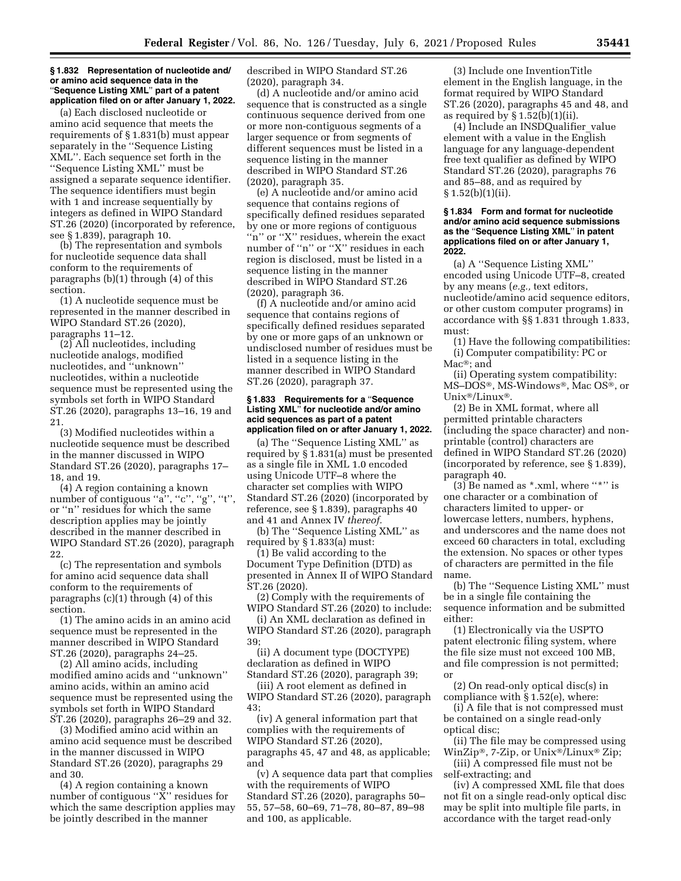### **§ 1.832 Representation of nucleotide and/ or amino acid sequence data in the**  ''**Sequence Listing XML**'' **part of a patent application filed on or after January 1, 2022.**

(a) Each disclosed nucleotide or amino acid sequence that meets the requirements of § 1.831(b) must appear separately in the ''Sequence Listing XML''. Each sequence set forth in the ''Sequence Listing XML'' must be assigned a separate sequence identifier. The sequence identifiers must begin with 1 and increase sequentially by integers as defined in WIPO Standard ST.26 (2020) (incorporated by reference, see § 1.839), paragraph 10.

(b) The representation and symbols for nucleotide sequence data shall conform to the requirements of paragraphs (b)(1) through (4) of this section.

(1) A nucleotide sequence must be represented in the manner described in WIPO Standard ST.26 (2020), paragraphs 11–12.

(2) All nucleotides, including nucleotide analogs, modified nucleotides, and ''unknown'' nucleotides, within a nucleotide sequence must be represented using the symbols set forth in WIPO Standard ST.26 (2020), paragraphs 13–16, 19 and 21.

(3) Modified nucleotides within a nucleotide sequence must be described in the manner discussed in WIPO Standard ST.26 (2020), paragraphs 17– 18, and 19.

(4) A region containing a known number of contiguous "a", "c", "g", "t", or ''n'' residues for which the same description applies may be jointly described in the manner described in WIPO Standard ST.26 (2020), paragraph 22.

(c) The representation and symbols for amino acid sequence data shall conform to the requirements of paragraphs (c)(1) through (4) of this section.

(1) The amino acids in an amino acid sequence must be represented in the manner described in WIPO Standard ST.26 (2020), paragraphs 24–25.

(2) All amino acids, including modified amino acids and ''unknown'' amino acids, within an amino acid sequence must be represented using the symbols set forth in WIPO Standard ST.26 (2020), paragraphs 26–29 and 32.

(3) Modified amino acid within an amino acid sequence must be described in the manner discussed in WIPO Standard ST.26 (2020), paragraphs 29 and 30.

(4) A region containing a known number of contiguous " $\bar{X}$ " residues for which the same description applies may be jointly described in the manner

described in WIPO Standard ST.26 (2020), paragraph 34.

(d) A nucleotide and/or amino acid sequence that is constructed as a single continuous sequence derived from one or more non-contiguous segments of a larger sequence or from segments of different sequences must be listed in a sequence listing in the manner described in WIPO Standard ST.26 (2020), paragraph 35.

(e) A nucleotide and/or amino acid sequence that contains regions of specifically defined residues separated by one or more regions of contiguous "n" or "X" residues, wherein the exact number of "n" or "X" residues in each region is disclosed, must be listed in a sequence listing in the manner described in WIPO Standard ST.26 (2020), paragraph 36.

(f) A nucleotide and/or amino acid sequence that contains regions of specifically defined residues separated by one or more gaps of an unknown or undisclosed number of residues must be listed in a sequence listing in the manner described in WIPO Standard ST.26 (2020), paragraph 37.

## **§ 1.833 Requirements for a** ''**Sequence Listing XML**'' **for nucleotide and/or amino acid sequences as part of a patent application filed on or after January 1, 2022.**

(a) The ''Sequence Listing XML'' as required by § 1.831(a) must be presented as a single file in XML 1.0 encoded using Unicode UTF–8 where the character set complies with WIPO Standard ST.26 (2020) (incorporated by reference, see § 1.839), paragraphs 40 and 41 and Annex IV *thereof.* 

(b) The ''Sequence Listing XML'' as required by § 1.833(a) must:

(1) Be valid according to the Document Type Definition (DTD) as presented in Annex II of WIPO Standard ST.26 (2020).

(2) Comply with the requirements of WIPO Standard ST.26 (2020) to include:

(i) An XML declaration as defined in WIPO Standard ST.26 (2020), paragraph 39;

(ii) A document type (DOCTYPE) declaration as defined in WIPO Standard ST.26 (2020), paragraph 39;

(iii) A root element as defined in WIPO Standard ST.26 (2020), paragraph 43;

(iv) A general information part that complies with the requirements of WIPO Standard ST.26 (2020), paragraphs 45, 47 and 48, as applicable; and

(v) A sequence data part that complies with the requirements of WIPO Standard ST.26 (2020), paragraphs 50– 55, 57–58, 60–69, 71–78, 80–87, 89–98 and 100, as applicable.

(3) Include one InventionTitle element in the English language, in the format required by WIPO Standard ST.26 (2020), paragraphs 45 and 48, and as required by  $\S 1.52(b)(1)(ii)$ .

(4) Include an INSDQualifier\_value element with a value in the English language for any language-dependent free text qualifier as defined by WIPO Standard ST.26 (2020), paragraphs 76 and 85–88, and as required by  $§ 1.52(b)(1)(ii).$ 

### **§ 1.834 Form and format for nucleotide and/or amino acid sequence submissions as the** ''**Sequence Listing XML**'' **in patent applications filed on or after January 1, 2022.**

(a) A ''Sequence Listing XML'' encoded using Unicode UTF–8, created by any means (*e.g.,* text editors, nucleotide/amino acid sequence editors, or other custom computer programs) in accordance with §§ 1.831 through 1.833, must:

(1) Have the following compatibilities: (i) Computer compatibility: PC or Mac®; and

(ii) Operating system compatibility: MS–DOS®, MS-Windows®, Mac OS®, or Unix®/Linux®.

(2) Be in XML format, where all permitted printable characters (including the space character) and nonprintable (control) characters are defined in WIPO Standard ST.26 (2020) (incorporated by reference, see § 1.839), paragraph 40.

(3) Be named as \*.xml, where ''\*'' is one character or a combination of characters limited to upper- or lowercase letters, numbers, hyphens, and underscores and the name does not exceed 60 characters in total, excluding the extension. No spaces or other types of characters are permitted in the file name.

(b) The ''Sequence Listing XML'' must be in a single file containing the sequence information and be submitted either:

(1) Electronically via the USPTO patent electronic filing system, where the file size must not exceed 100 MB, and file compression is not permitted; or

(2) On read-only optical disc(s) in compliance with § 1.52(e), where:

(i) A file that is not compressed must be contained on a single read-only optical disc;

(ii) The file may be compressed using WinZip®, 7-Zip, or Unix®/Linux® Zip;

(iii) A compressed file must not be self-extracting; and

(iv) A compressed XML file that does not fit on a single read-only optical disc may be split into multiple file parts, in accordance with the target read-only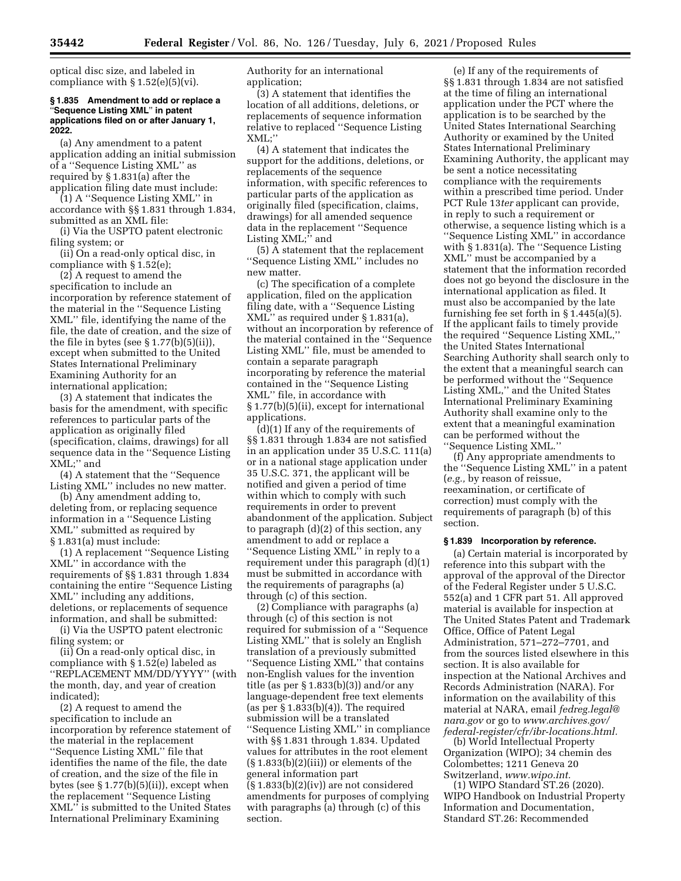optical disc size, and labeled in compliance with  $\S 1.52(e)(5)(vi)$ .

### **§ 1.835 Amendment to add or replace a**  ''**Sequence Listing XML**'' **in patent applications filed on or after January 1, 2022.**

(a) Any amendment to a patent application adding an initial submission of a ''Sequence Listing XML'' as required by § 1.831(a) after the application filing date must include:

(1) A ''Sequence Listing XML'' in accordance with §§ 1.831 through 1.834, submitted as an XML file:

(i) Via the USPTO patent electronic filing system; or

(ii) On a read-only optical disc, in compliance with § 1.52(e);

(2) A request to amend the specification to include an incorporation by reference statement of the material in the ''Sequence Listing XML'' file, identifying the name of the file, the date of creation, and the size of the file in bytes (see  $\S 1.77(b)(5)(ii)$ ), except when submitted to the United States International Preliminary Examining Authority for an international application;

(3) A statement that indicates the basis for the amendment, with specific references to particular parts of the application as originally filed (specification, claims, drawings) for all sequence data in the ''Sequence Listing XML;'' and

(4) A statement that the ''Sequence Listing XML'' includes no new matter.

(b) Any amendment adding to, deleting from, or replacing sequence information in a ''Sequence Listing XML'' submitted as required by § 1.831(a) must include:

(1) A replacement ''Sequence Listing XML'' in accordance with the requirements of §§ 1.831 through 1.834 containing the entire ''Sequence Listing XML'' including any additions, deletions, or replacements of sequence information, and shall be submitted:

(i) Via the USPTO patent electronic filing system; or

(ii) On a read-only optical disc, in compliance with § 1.52(e) labeled as ''REPLACEMENT MM/DD/YYYY'' (with the month, day, and year of creation indicated);

(2) A request to amend the specification to include an incorporation by reference statement of the material in the replacement ''Sequence Listing XML'' file that identifies the name of the file, the date of creation, and the size of the file in bytes (see § 1.77(b)(5)(ii)), except when the replacement ''Sequence Listing XML'' is submitted to the United States International Preliminary Examining

Authority for an international application;

(3) A statement that identifies the location of all additions, deletions, or replacements of sequence information relative to replaced ''Sequence Listing XML;''

(4) A statement that indicates the support for the additions, deletions, or replacements of the sequence information, with specific references to particular parts of the application as originally filed (specification, claims, drawings) for all amended sequence data in the replacement ''Sequence Listing XML;" and

(5) A statement that the replacement ''Sequence Listing XML'' includes no new matter.

(c) The specification of a complete application, filed on the application filing date, with a ''Sequence Listing XML'' as required under § 1.831(a), without an incorporation by reference of the material contained in the ''Sequence Listing XML'' file, must be amended to contain a separate paragraph incorporating by reference the material contained in the ''Sequence Listing XML'' file, in accordance with § 1.77(b)(5)(ii), except for international applications.

(d)(1) If any of the requirements of §§ 1.831 through 1.834 are not satisfied in an application under 35 U.S.C. 111(a) or in a national stage application under 35 U.S.C. 371, the applicant will be notified and given a period of time within which to comply with such requirements in order to prevent abandonment of the application. Subject to paragraph (d)(2) of this section, any amendment to add or replace a ''Sequence Listing XML'' in reply to a requirement under this paragraph (d)(1) must be submitted in accordance with the requirements of paragraphs (a) through (c) of this section.

(2) Compliance with paragraphs (a) through (c) of this section is not required for submission of a ''Sequence Listing XML'' that is solely an English translation of a previously submitted ''Sequence Listing XML'' that contains non-English values for the invention title (as per § 1.833(b)(3)) and/or any language-dependent free text elements (as per  $\S 1.833(b)(4)$ ). The required submission will be a translated ''Sequence Listing XML'' in compliance with §§ 1.831 through 1.834. Updated values for attributes in the root element  $(\S 1.833(b)(2)(iii))$  or elements of the general information part  $(\S 1.833(b)(2)(iv))$  are not considered amendments for purposes of complying with paragraphs (a) through (c) of this section.

(e) If any of the requirements of §§ 1.831 through 1.834 are not satisfied at the time of filing an international application under the PCT where the application is to be searched by the United States International Searching Authority or examined by the United States International Preliminary Examining Authority, the applicant may be sent a notice necessitating compliance with the requirements within a prescribed time period. Under PCT Rule 13*ter* applicant can provide, in reply to such a requirement or otherwise, a sequence listing which is a ''Sequence Listing XML'' in accordance with § 1.831(a). The ''Sequence Listing XML'' must be accompanied by a statement that the information recorded does not go beyond the disclosure in the international application as filed. It must also be accompanied by the late furnishing fee set forth in § 1.445(a)(5). If the applicant fails to timely provide the required ''Sequence Listing XML,'' the United States International Searching Authority shall search only to the extent that a meaningful search can be performed without the ''Sequence Listing XML,'' and the United States International Preliminary Examining Authority shall examine only to the extent that a meaningful examination can be performed without the ''Sequence Listing XML.''

(f) Any appropriate amendments to the ''Sequence Listing XML'' in a patent (*e.g.,* by reason of reissue, reexamination, or certificate of correction) must comply with the requirements of paragraph (b) of this section.

#### **§ 1.839 Incorporation by reference.**

(a) Certain material is incorporated by reference into this subpart with the approval of the approval of the Director of the Federal Register under 5 U.S.C. 552(a) and 1 CFR part 51. All approved material is available for inspection at The United States Patent and Trademark Office, Office of Patent Legal Administration, 571–272–7701, and from the sources listed elsewhere in this section. It is also available for inspection at the National Archives and Records Administration (NARA). For information on the availability of this material at NARA, email *[fedreg.legal@](mailto:fedreg.legal@nara.gov) [nara.gov](mailto:fedreg.legal@nara.gov)* or go to *[www.archives.gov/](http://www.archives.gov/federal-register/cfr/ibr-locations.html) [federal-register/cfr/ibr-locations.html.](http://www.archives.gov/federal-register/cfr/ibr-locations.html)* 

(b) World Intellectual Property Organization (WIPO); 34 chemin des Colombettes; 1211 Geneva 20 Switzerland, *[www.wipo.int.](http://www.wipo.int)* 

(1) WIPO Standard ST.26 (2020). WIPO Handbook on Industrial Property Information and Documentation, Standard ST.26: Recommended